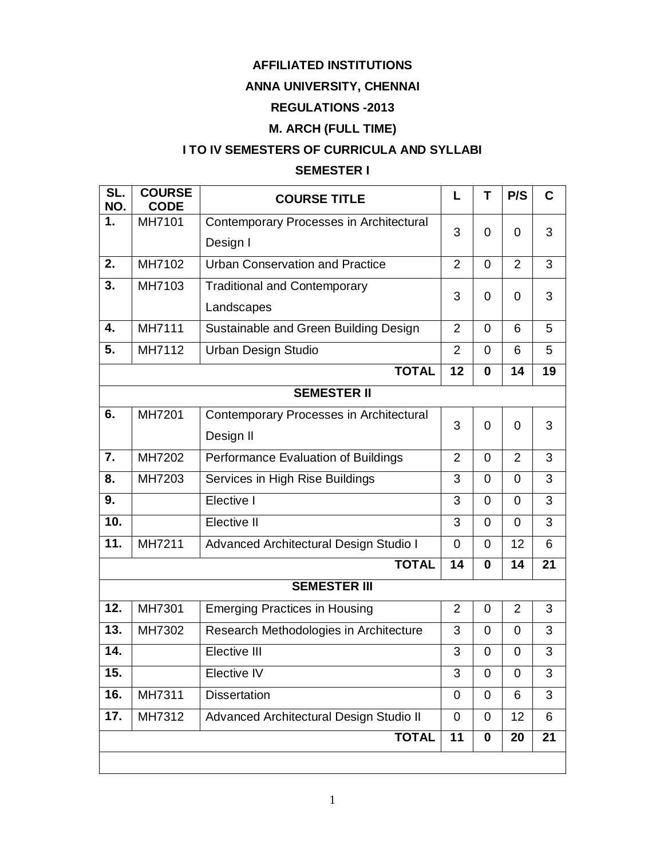### **AFFILIATED INSTITUTIONS**

### **ANNA UNIVERSITY, CHENNAI**

### **REGULATIONS -2013**

### **M. ARCH (FULL TIME)**

### **I TO IV SEMESTERS OF CURRICULA AND SYLLABI**

### **SEMESTER I**

| SL.<br>NO. | <b>COURSE</b><br><b>CODE</b> | <b>COURSE TITLE</b>                     | L              | T              | P/S            | C  |
|------------|------------------------------|-----------------------------------------|----------------|----------------|----------------|----|
| 1.         | MH7101                       | Contemporary Processes in Architectural | 3              | 0              |                |    |
|            |                              | Design I                                |                |                | 0              | 3  |
| 2.         | MH7102                       | <b>Urban Conservation and Practice</b>  | $\overline{2}$ | 0              | $\overline{2}$ | 3  |
| 3.         | MH7103                       | <b>Traditional and Contemporary</b>     | 3              | 0              | $\Omega$       | 3  |
|            |                              | Landscapes                              |                |                |                |    |
| 4.         | MH7111                       | Sustainable and Green Building Design   | $\overline{2}$ | 0              | 6              | 5  |
| 5.         | MH7112                       | <b>Urban Design Studio</b>              | $\overline{2}$ | $\overline{0}$ | 6              | 5  |
|            |                              | <b>TOTAL</b>                            | 12             | 0              | 14             | 19 |
|            |                              | <b>SEMESTER II</b>                      |                |                |                |    |
| 6.         | MH7201                       | Contemporary Processes in Architectural | 3              | $\overline{0}$ | $\overline{0}$ | 3  |
|            |                              | Design II                               |                |                |                |    |
| 7.         | MH7202                       | Performance Evaluation of Buildings     | $\overline{2}$ | $\overline{0}$ | $\overline{2}$ | 3  |
| 8.         | MH7203                       | Services in High Rise Buildings         | 3              | 0              | $\Omega$       | 3  |
| 9.         |                              | Elective I                              | 3              | 0              | $\overline{0}$ | 3  |
| 10.        |                              | Elective II                             | 3              | $\overline{0}$ | $\Omega$       | 3  |
| 11.        | MH7211                       | Advanced Architectural Design Studio I  | 0              | 0              | 12             | 6  |
|            |                              | <b>TOTAL</b>                            | 14             | 0              | 14             | 21 |
|            |                              | <b>SEMESTER III</b>                     |                |                |                |    |
| 12.        | MH7301                       | <b>Emerging Practices in Housing</b>    | $\overline{2}$ | 0              | $\overline{2}$ | 3  |
| 13.        | MH7302                       | Research Methodologies in Architecture  | 3              | 0              | 0              | 3  |
| 14.        |                              | Elective III                            | 3              | 0              | 0              | 3  |
| 15.        |                              | Elective IV                             | 3              | $\mathbf 0$    | $\mathbf 0$    | 3  |
| 16.        | MH7311                       | <b>Dissertation</b>                     | 0              | 0              | 6              | 3  |
| 17.        | MH7312                       | Advanced Architectural Design Studio II | 0              | 0              | 12             | 6  |
|            |                              | <b>TOTAL</b>                            | 11             | 0              | 20             | 21 |
|            |                              |                                         |                |                |                |    |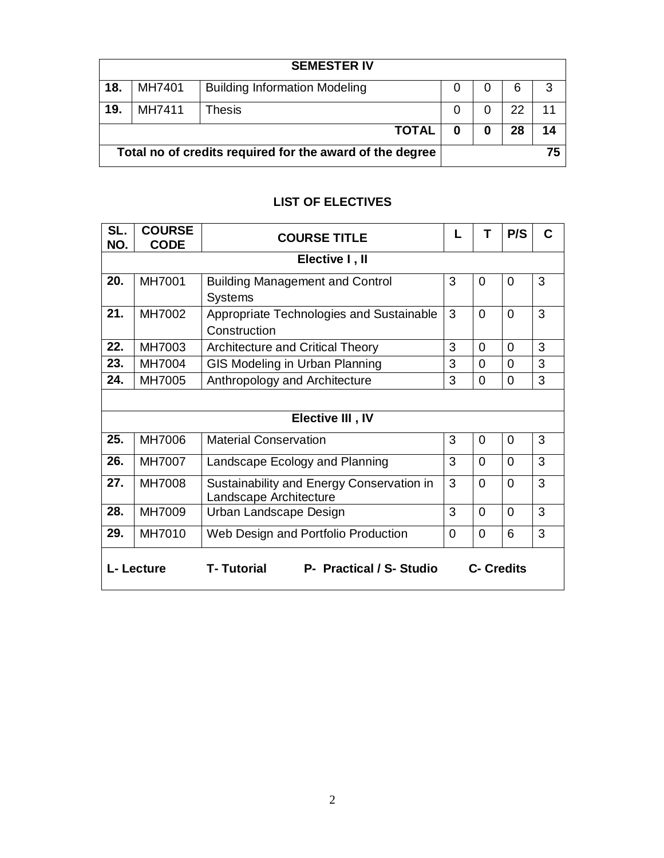| <b>SEMESTER IV</b>                                       |        |                                      |   |   |    |    |
|----------------------------------------------------------|--------|--------------------------------------|---|---|----|----|
| 18.                                                      | MH7401 | <b>Building Information Modeling</b> | O |   | 6  | 3  |
| 19.                                                      | MH7411 | Thesis                               | 0 |   | 22 | 11 |
|                                                          |        | <b>TOTAL</b>                         | 0 | 0 | 28 | 14 |
| Total no of credits required for the award of the degree |        |                                      |   |   |    | 75 |

### **LIST OF ELECTIVES**

| SL.<br>NO.                                                                 | <b>COURSE</b><br><b>CODE</b> | <b>COURSE TITLE</b>                                                 |          | т        | P/S            | С |  |  |
|----------------------------------------------------------------------------|------------------------------|---------------------------------------------------------------------|----------|----------|----------------|---|--|--|
|                                                                            | Elective I, II               |                                                                     |          |          |                |   |  |  |
| 20.                                                                        | MH7001                       | <b>Building Management and Control</b><br><b>Systems</b>            | 3        | $\Omega$ | $\Omega$       | 3 |  |  |
| 21.                                                                        | MH7002                       | Appropriate Technologies and Sustainable<br>Construction            | 3        | 0        | $\Omega$       | 3 |  |  |
| 22.                                                                        | MH7003                       | <b>Architecture and Critical Theory</b>                             | 3        | 0        | $\Omega$       | 3 |  |  |
| 23.                                                                        | MH7004                       | GIS Modeling in Urban Planning                                      | 3        | 0        | $\Omega$       | 3 |  |  |
| 24.                                                                        | MH7005                       | Anthropology and Architecture                                       | 3        | 0        | 0              | 3 |  |  |
|                                                                            |                              |                                                                     |          |          |                |   |  |  |
|                                                                            |                              | Elective III, IV                                                    |          |          |                |   |  |  |
| 25.                                                                        | MH7006                       | <b>Material Conservation</b>                                        | 3        | $\Omega$ | $\overline{0}$ | 3 |  |  |
| 26.                                                                        | MH7007                       | Landscape Ecology and Planning                                      | 3        | $\Omega$ | $\Omega$       | 3 |  |  |
| 27.                                                                        | <b>MH7008</b>                | Sustainability and Energy Conservation in<br>Landscape Architecture | 3        | $\Omega$ | 0              | 3 |  |  |
| 28.                                                                        | MH7009                       | Urban Landscape Design                                              | 3        | $\Omega$ | $\overline{0}$ | 3 |  |  |
| 29.                                                                        | MH7010                       | Web Design and Portfolio Production                                 | $\Omega$ | 0        | 6              | 3 |  |  |
| P- Practical / S- Studio<br>L- Lecture<br>T- Tutorial<br><b>C- Credits</b> |                              |                                                                     |          |          |                |   |  |  |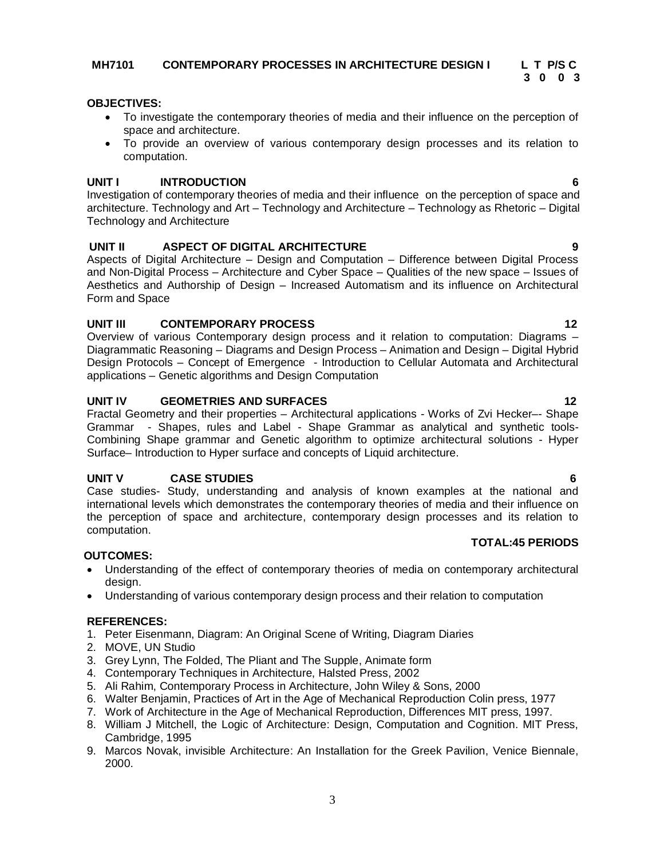#### **MH7101 CONTEMPORARY PROCESSES IN ARCHITECTURE DESIGN I L T P/S C**

#### **OBJECTIVES:**

- To investigate the contemporary theories of media and their influence on the perception of space and architecture.
- To provide an overview of various contemporary design processes and its relation to computation.

#### **UNIT I INTRODUCTION 6**

Investigation of contemporary theories of media and their influence on the perception of space and architecture. Technology and Art – Technology and Architecture – Technology as Rhetoric – Digital Technology and Architecture

#### **UNIT II ASPECT OF DIGITAL ARCHITECTURE 9**

Aspects of Digital Architecture – Design and Computation – Difference between Digital Process and Non-Digital Process – Architecture and Cyber Space – Qualities of the new space – Issues of Aesthetics and Authorship of Design – Increased Automatism and its influence on Architectural Form and Space

#### **UNIT III CONTEMPORARY PROCESS 12**

Overview of various Contemporary design process and it relation to computation: Diagrams – Diagrammatic Reasoning – Diagrams and Design Process – Animation and Design – Digital Hybrid Design Protocols – Concept of Emergence - Introduction to Cellular Automata and Architectural applications – Genetic algorithms and Design Computation

#### **UNIT IV GEOMETRIES AND SURFACES 12**

Fractal Geometry and their properties – Architectural applications - Works of Zvi Hecker–- Shape Grammar - Shapes, rules and Label - Shape Grammar as analytical and synthetic tools-Combining Shape grammar and Genetic algorithm to optimize architectural solutions - Hyper Surface– Introduction to Hyper surface and concepts of Liquid architecture.

#### **UNIT V CASE STUDIES 6**

Case studies- Study, understanding and analysis of known examples at the national and international levels which demonstrates the contemporary theories of media and their influence on the perception of space and architecture, contemporary design processes and its relation to computation.

#### **OUTCOMES:**

- Understanding of the effect of contemporary theories of media on contemporary architectural design.
- Understanding of various contemporary design process and their relation to computation

#### **REFERENCES:**

- 1. Peter Eisenmann, Diagram: An Original Scene of Writing, Diagram Diaries
- 2. MOVE, UN Studio
- 3. Grey Lynn, The Folded, The Pliant and The Supple, Animate form
- 4. Contemporary Techniques in Architecture, Halsted Press, 2002
- 5. Ali Rahim, Contemporary Process in Architecture, John Wiley & Sons, 2000
- 6. Walter Benjamin, Practices of Art in the Age of Mechanical Reproduction Colin press, 1977
- 7. Work of Architecture in the Age of Mechanical Reproduction, Differences MIT press, 1997.
- 8. William J Mitchell, the Logic of Architecture: Design, Computation and Cognition. MIT Press, Cambridge, 1995
- 9. Marcos Novak, invisible Architecture: An Installation for the Greek Pavilion, Venice Biennale, 2000.

**TOTAL:45 PERIODS**

**3** 0 0 3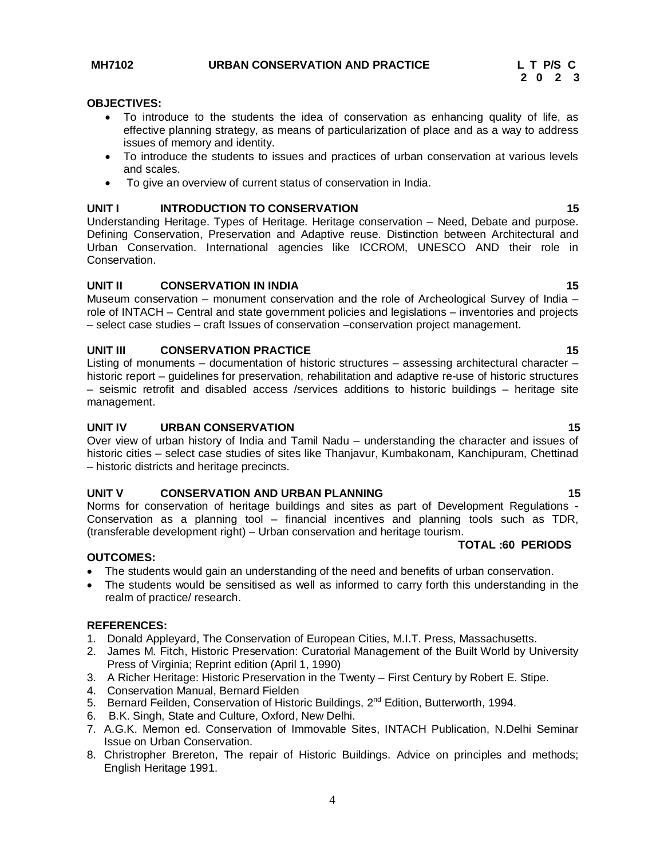#### **OBJECTIVES:**

- To introduce to the students the idea of conservation as enhancing quality of life, as effective planning strategy, as means of particularization of place and as a way to address issues of memory and identity.
- To introduce the students to issues and practices of urban conservation at various levels and scales.
- To give an overview of current status of conservation in India.

#### **UNIT I INTRODUCTION TO CONSERVATION 15**

Understanding Heritage. Types of Heritage. Heritage conservation – Need, Debate and purpose. Defining Conservation, Preservation and Adaptive reuse. Distinction between Architectural and Urban Conservation. International agencies like ICCROM, UNESCO AND their role in Conservation.

#### **UNIT II CONSERVATION IN INDIA 15**

Museum conservation – monument conservation and the role of Archeological Survey of India – role of INTACH – Central and state government policies and legislations – inventories and projects – select case studies – craft Issues of conservation –conservation project management.

#### **UNIT III** CONSERVATION PRACTICE 15

Listing of monuments – documentation of historic structures – assessing architectural character – historic report – guidelines for preservation, rehabilitation and adaptive re-use of historic structures – seismic retrofit and disabled access /services additions to historic buildings – heritage site management.

#### **UNIT IV URBAN CONSERVATION 15**

Over view of urban history of India and Tamil Nadu – understanding the character and issues of historic cities – select case studies of sites like Thanjavur, Kumbakonam, Kanchipuram, Chettinad – historic districts and heritage precincts.

#### **UNIT V CONSERVATION AND URBAN PLANNING 15**

Norms for conservation of heritage buildings and sites as part of Development Regulations - Conservation as a planning tool – financial incentives and planning tools such as TDR, (transferable development right) – Urban conservation and heritage tourism.

#### **TOTAL :60 PERIODS**

#### **OUTCOMES:**

- The students would gain an understanding of the need and benefits of urban conservation.
- The students would be sensitised as well as informed to carry forth this understanding in the realm of practice/ research.

- 1. Donald Appleyard, The Conservation of European Cities, M.I.T. Press, Massachusetts.
- 2. James M. Fitch, Historic Preservation: Curatorial Management of the Built World by University Press of Virginia; Reprint edition (April 1, 1990)
- 3. A Richer Heritage: Historic Preservation in the Twenty First Century by Robert E. Stipe.
- 4. Conservation Manual, Bernard Fielden
- 5. Bernard Feilden, Conservation of Historic Buildings,  $2^{nd}$  Edition, Butterworth, 1994.
- 6. B.K. Singh, State and Culture, Oxford, New Delhi.
- 7. A.G.K. Memon ed. Conservation of Immovable Sites, INTACH Publication, N.Delhi Seminar Issue on Urban Conservation.
- 8. Christropher Brereton, The repair of Historic Buildings. Advice on principles and methods; English Heritage 1991.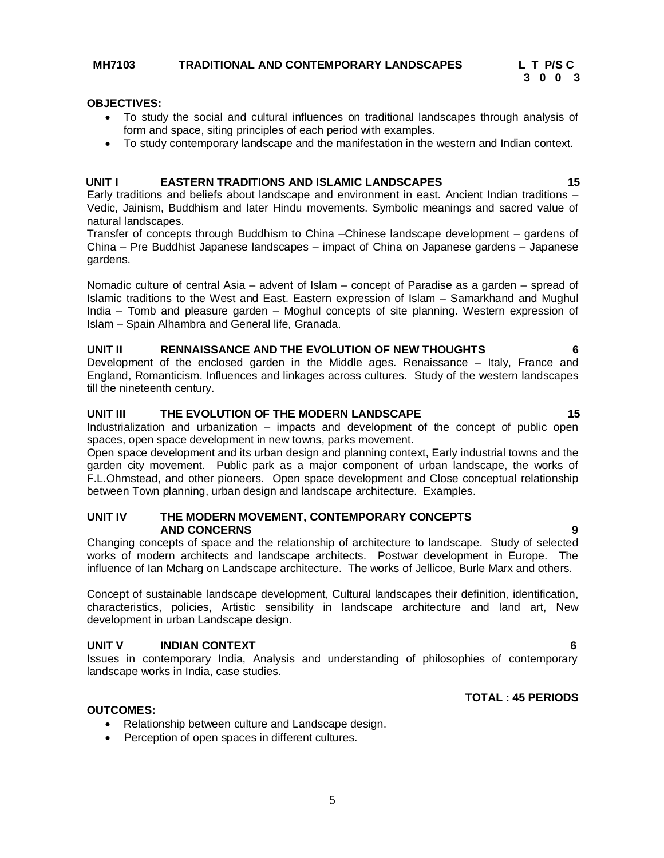#### **OBJECTIVES:**

- To study the social and cultural influences on traditional landscapes through analysis of form and space, siting principles of each period with examples.
- To study contemporary landscape and the manifestation in the western and Indian context.

#### **UNIT I EASTERN TRADITIONS AND ISLAMIC LANDSCAPES 15**

Early traditions and beliefs about landscape and environment in east. Ancient Indian traditions – Vedic, Jainism, Buddhism and later Hindu movements. Symbolic meanings and sacred value of natural landscapes.

Transfer of concepts through Buddhism to China –Chinese landscape development – gardens of China – Pre Buddhist Japanese landscapes – impact of China on Japanese gardens – Japanese gardens.

Nomadic culture of central Asia – advent of Islam – concept of Paradise as a garden – spread of Islamic traditions to the West and East. Eastern expression of Islam – Samarkhand and Mughul India – Tomb and pleasure garden – Moghul concepts of site planning. Western expression of Islam – Spain Alhambra and General life, Granada.

#### **UNIT II RENNAISSANCE AND THE EVOLUTION OF NEW THOUGHTS 6**

Development of the enclosed garden in the Middle ages. Renaissance – Italy, France and England, Romanticism. Influences and linkages across cultures. Study of the western landscapes till the nineteenth century.

#### **UNIT III THE EVOLUTION OF THE MODERN LANDSCAPE 15**

Industrialization and urbanization – impacts and development of the concept of public open spaces, open space development in new towns, parks movement.

Open space development and its urban design and planning context, Early industrial towns and the garden city movement. Public park as a major component of urban landscape, the works of F.L.Ohmstead, and other pioneers. Open space development and Close conceptual relationship between Town planning, urban design and landscape architecture. Examples.

#### **UNIT IV THE MODERN MOVEMENT, CONTEMPORARY CONCEPTS AND CONCERNS 9**

Changing concepts of space and the relationship of architecture to landscape. Study of selected works of modern architects and landscape architects. Postwar development in Europe. The influence of Ian Mcharg on Landscape architecture. The works of Jellicoe, Burle Marx and others.

Concept of sustainable landscape development, Cultural landscapes their definition, identification, characteristics, policies, Artistic sensibility in landscape architecture and land art, New development in urban Landscape design.

#### **UNIT V INDIAN CONTEXT 6**

Issues in contemporary India, Analysis and understanding of philosophies of contemporary landscape works in India, case studies.

#### **TOTAL : 45 PERIODS**

#### **OUTCOMES:**

- Relationship between culture and Landscape design.
- Perception of open spaces in different cultures.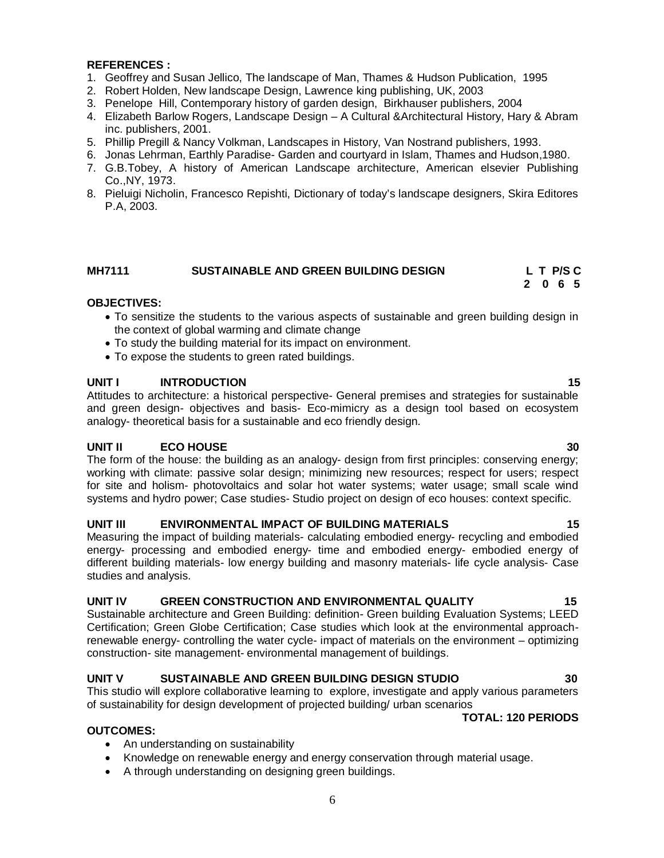#### **REFERENCES :**

- 1. Geoffrey and Susan Jellico, The landscape of Man, Thames & Hudson Publication, 1995
- 2. Robert Holden, New landscape Design, Lawrence king publishing, UK, 2003
- 3. Penelope Hill, Contemporary history of garden design, Birkhauser publishers, 2004
- 4. Elizabeth Barlow Rogers, Landscape Design A Cultural &Architectural History, Hary & Abram inc. publishers, 2001.
- 5. Phillip Pregill & Nancy Volkman, Landscapes in History, Van Nostrand publishers, 1993.
- 6. Jonas Lehrman, Earthly Paradise- Garden and courtyard in Islam, Thames and Hudson,1980.
- 7. G.B.Tobey, A history of American Landscape architecture, American elsevier Publishing Co.,NY, 1973.
- 8. Pieluigi Nicholin, Francesco Repishti, Dictionary of today's landscape designers, Skira Editores P.A, 2003.

#### **MH7111 SUSTAINABLE AND GREEN BUILDING DESIGN L T P/S C**

#### **OBJECTIVES:**

 To sensitize the students to the various aspects of sustainable and green building design in the context of global warming and climate change

 **2 0 6 5**

- To study the building material for its impact on environment.
- To expose the students to green rated buildings.

#### **UNIT I INTRODUCTION 15**

Attitudes to architecture: a historical perspective- General premises and strategies for sustainable and green design- objectives and basis- Eco-mimicry as a design tool based on ecosystem analogy- theoretical basis for a sustainable and eco friendly design.

#### **UNIT II ECO HOUSE 30**

The form of the house: the building as an analogy- design from first principles: conserving energy; working with climate: passive solar design; minimizing new resources; respect for users; respect for site and holism- photovoltaics and solar hot water systems; water usage; small scale wind systems and hydro power; Case studies- Studio project on design of eco houses: context specific.

#### **UNIT III ENVIRONMENTAL IMPACT OF BUILDING MATERIALS 15**

Measuring the impact of building materials- calculating embodied energy- recycling and embodied energy- processing and embodied energy- time and embodied energy- embodied energy of different building materials- low energy building and masonry materials- life cycle analysis- Case studies and analysis.

#### **UNIT IV GREEN CONSTRUCTION AND ENVIRONMENTAL QUALITY 15**

Sustainable architecture and Green Building: definition- Green building Evaluation Systems; LEED Certification; Green Globe Certification; Case studies which look at the environmental approachrenewable energy- controlling the water cycle- impact of materials on the environment – optimizing construction- site management- environmental management of buildings.

#### **UNIT V SUSTAINABLE AND GREEN BUILDING DESIGN STUDIO 30**

This studio will explore collaborative learning to explore, investigate and apply various parameters of sustainability for design development of projected building/ urban scenarios

#### **TOTAL: 120 PERIODS**

#### **OUTCOMES:**

- An understanding on sustainability
- Knowledge on renewable energy and energy conservation through material usage.
- A through understanding on designing green buildings.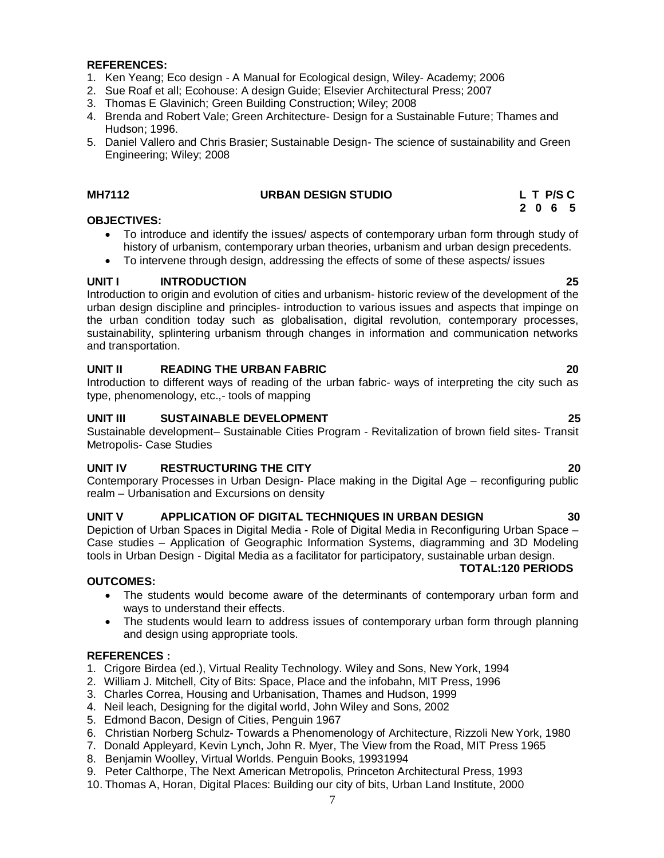#### **REFERENCES:**

- 1. Ken Yeang; Eco design A Manual for Ecological design, Wiley- Academy; 2006
- 2. Sue Roaf et all; Ecohouse: A design Guide; Elsevier Architectural Press; 2007
- 3. Thomas E Glavinich; Green Building Construction; Wiley; 2008
- 4. Brenda and Robert Vale; Green Architecture- Design for a Sustainable Future; Thames and Hudson; 1996.
- 5. Daniel Vallero and Chris Brasier; Sustainable Design- The science of sustainability and Green Engineering; Wiley; 2008

#### **MH7112 URBAN DESIGN STUDIO L T P/S C**

#### **2 0 6 5 OBJECTIVES:**

- To introduce and identify the issues/ aspects of contemporary urban form through study of history of urbanism, contemporary urban theories, urbanism and urban design precedents.
- To intervene through design, addressing the effects of some of these aspects/ issues

### **UNIT I INTRODUCTION 25**

Introduction to origin and evolution of cities and urbanism- historic review of the development of the urban design discipline and principles- introduction to various issues and aspects that impinge on the urban condition today such as globalisation, digital revolution, contemporary processes, sustainability, splintering urbanism through changes in information and communication networks and transportation.

#### **UNIT II READING THE URBAN FABRIC 20**

Introduction to different ways of reading of the urban fabric- ways of interpreting the city such as type, phenomenology, etc.,- tools of mapping

#### **UNIT III SUSTAINABLE DEVELOPMENT 25**

Sustainable development– Sustainable Cities Program - Revitalization of brown field sites- Transit Metropolis- Case Studies

#### **UNIT IV RESTRUCTURING THE CITY 20**

Contemporary Processes in Urban Design- Place making in the Digital Age – reconfiguring public realm – Urbanisation and Excursions on density

#### **UNIT V APPLICATION OF DIGITAL TECHNIQUES IN URBAN DESIGN 30**

Depiction of Urban Spaces in Digital Media - Role of Digital Media in Reconfiguring Urban Space – Case studies – Application of Geographic Information Systems, diagramming and 3D Modeling tools in Urban Design - Digital Media as a facilitator for participatory, sustainable urban design.

#### **OUTCOMES:**

- The students would become aware of the determinants of contemporary urban form and ways to understand their effects.
- The students would learn to address issues of contemporary urban form through planning and design using appropriate tools.

#### **REFERENCES :**

- 1. Crigore Birdea (ed.), Virtual Reality Technology. Wiley and Sons, New York, 1994
- 2. William J. Mitchell, City of Bits: Space, Place and the infobahn, MIT Press, 1996
- 3. Charles Correa, Housing and Urbanisation, Thames and Hudson, 1999
- 4. Neil leach, Designing for the digital world, John Wiley and Sons, 2002
- 5. Edmond Bacon, Design of Cities, Penguin 1967
- 6. Christian Norberg Schulz- Towards a Phenomenology of Architecture, Rizzoli New York, 1980
- 7. Donald Appleyard, Kevin Lynch, John R. Myer, The View from the Road, MIT Press 1965
- 8. Benjamin Woolley, Virtual Worlds. Penguin Books, 19931994
- 9. Peter Calthorpe, The Next American Metropolis, Princeton Architectural Press, 1993
- 10. Thomas A, Horan, Digital Places: Building our city of bits, Urban Land Institute, 2000

 **TOTAL:120 PERIODS**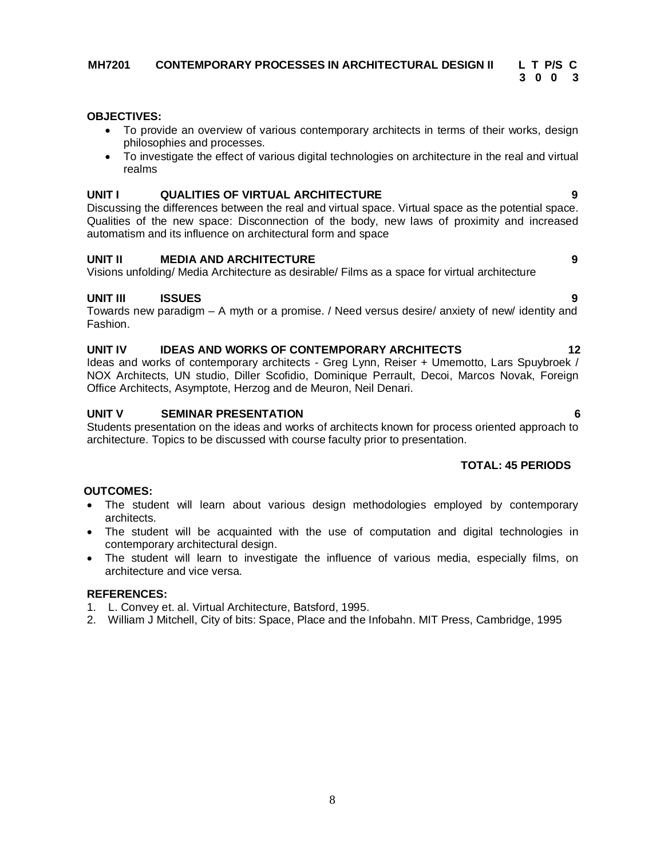#### **MH7201 CONTEMPORARY PROCESSES IN ARCHITECTURAL DESIGN II L T P/S C**

**3 0 0 3 3 0 0 3** 

#### **OBJECTIVES:**

- To provide an overview of various contemporary architects in terms of their works, design philosophies and processes.
- To investigate the effect of various digital technologies on architecture in the real and virtual realms

#### **UNIT I QUALITIES OF VIRTUAL ARCHITECTURE 9**

Discussing the differences between the real and virtual space. Virtual space as the potential space. Qualities of the new space: Disconnection of the body, new laws of proximity and increased automatism and its influence on architectural form and space

#### **UNIT II MEDIA AND ARCHITECTURE 9**

Visions unfolding/ Media Architecture as desirable/ Films as a space for virtual architecture

#### **UNIT III ISSUES 9**

Towards new paradigm – A myth or a promise. / Need versus desire/ anxiety of new/ identity and Fashion.

#### **UNIT IV IDEAS AND WORKS OF CONTEMPORARY ARCHITECTS 12**

Ideas and works of contemporary architects - Greg Lynn, Reiser + Umemotto, Lars Spuybroek / NOX Architects, UN studio, Diller Scofidio, Dominique Perrault, Decoi, Marcos Novak, Foreign Office Architects, Asymptote, Herzog and de Meuron, Neil Denari.

#### **UNIT V SEMINAR PRESENTATION** 6

Students presentation on the ideas and works of architects known for process oriented approach to architecture. Topics to be discussed with course faculty prior to presentation.

#### **TOTAL: 45 PERIODS**

#### **OUTCOMES:**

- The student will learn about various design methodologies employed by contemporary architects.
- The student will be acquainted with the use of computation and digital technologies in contemporary architectural design.
- The student will learn to investigate the influence of various media, especially films, on architecture and vice versa.

- 1. L. Convey et. al. Virtual Architecture, Batsford, 1995.
- 2. William J Mitchell, City of bits: Space, Place and the Infobahn. MIT Press, Cambridge, 1995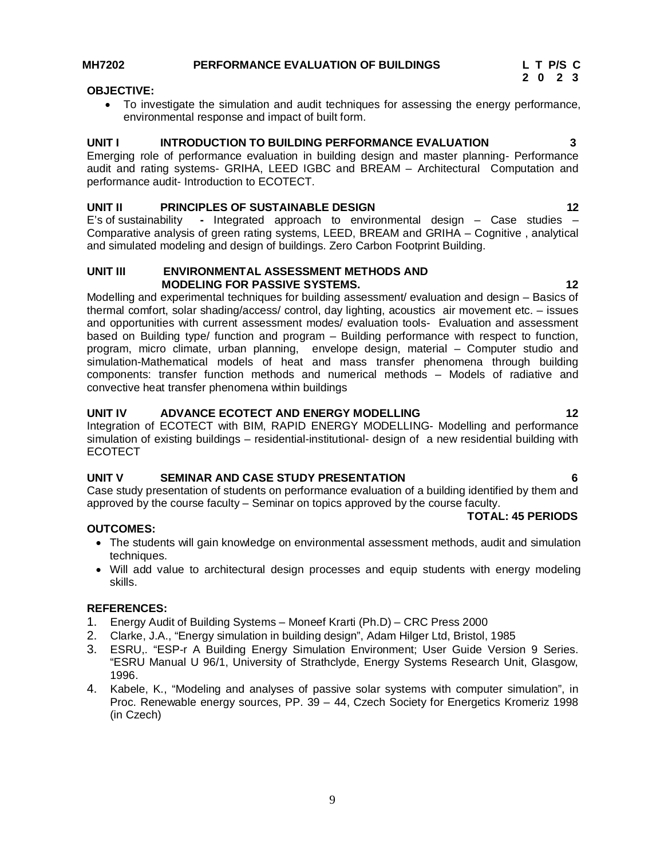#### **MH7202 PERFORMANCE EVALUATION OF BUILDINGS L T P/S C**

#### **OBJECTIVE:**

 To investigate the simulation and audit techniques for assessing the energy performance, environmental response and impact of built form.

#### **UNIT I INTRODUCTION TO BUILDING PERFORMANCE EVALUATION 3**

Emerging role of performance evaluation in building design and master planning- Performance audit and rating systems- GRIHA, LEED IGBC and BREAM – Architectural Computation and performance audit- Introduction to ECOTECT.

#### **UNIT II PRINCIPLES OF SUSTAINABLE DESIGN 12**

E's of sustainability **-** Integrated approach to environmental design – Case studies – Comparative analysis of green rating systems, LEED, BREAM and GRIHA – Cognitive , analytical and simulated modeling and design of buildings. Zero Carbon Footprint Building.

#### **UNIT III ENVIRONMENTAL ASSESSMENT METHODS AND MODELING FOR PASSIVE SYSTEMS.** 12

Modelling and experimental techniques for building assessment/ evaluation and design – Basics of thermal comfort, solar shading/access/ control, day lighting, acoustics air movement etc. – issues and opportunities with current assessment modes/ evaluation tools- Evaluation and assessment based on Building type/ function and program – Building performance with respect to function, program, micro climate, urban planning, envelope design, material – Computer studio and simulation-Mathematical models of heat and mass transfer phenomena through building components: transfer function methods and numerical methods – Models of radiative and convective heat transfer phenomena within buildings

#### **UNIT IV ADVANCE ECOTECT AND ENERGY MODELLING 12**

Integration of ECOTECT with BIM, RAPID ENERGY MODELLING- Modelling and performance simulation of existing buildings – residential-institutional- design of a new residential building with ECOTECT

#### **UNIT V SEMINAR AND CASE STUDY PRESENTATION 6**

Case study presentation of students on performance evaluation of a building identified by them and approved by the course faculty – Seminar on topics approved by the course faculty.

#### **TOTAL: 45 PERIODS**

#### **OUTCOMES:**

- The students will gain knowledge on environmental assessment methods, audit and simulation techniques.
- Will add value to architectural design processes and equip students with energy modeling skills.

- 1. Energy Audit of Building Systems Moneef Krarti (Ph.D) CRC Press 2000
- 2. Clarke, J.A., "Energy simulation in building design", Adam Hilger Ltd, Bristol, 1985
- 3. ESRU,. "ESP-r A Building Energy Simulation Environment; User Guide Version 9 Series. "ESRU Manual U 96/1, University of Strathclyde, Energy Systems Research Unit, Glasgow, 1996.
- 4. Kabele, K., "Modeling and analyses of passive solar systems with computer simulation", in Proc. Renewable energy sources, PP. 39 – 44, Czech Society for Energetics Kromeriz 1998 (in Czech)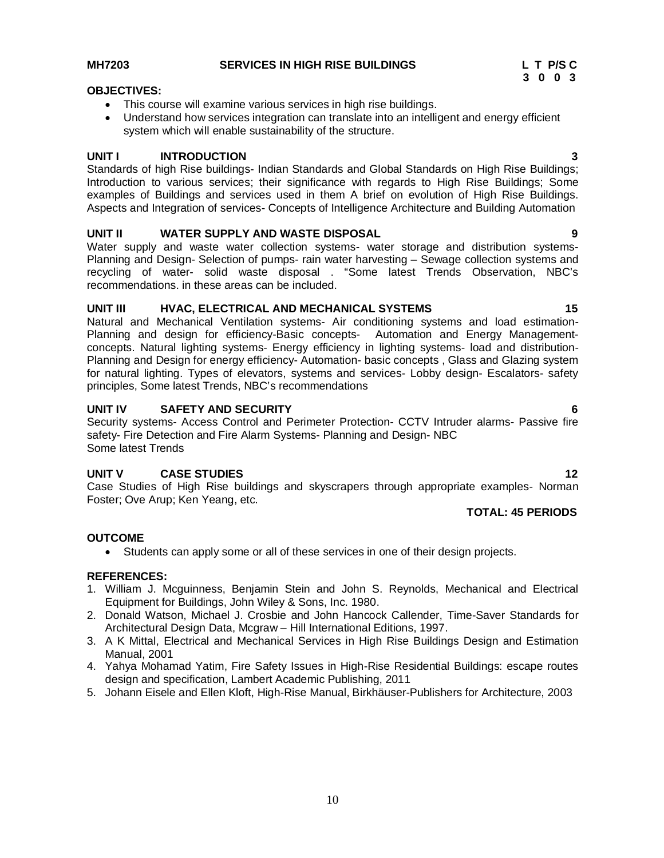#### **MH7203 SERVICES IN HIGH RISE BUILDINGS L T P/S C**

- This course will examine various services in high rise buildings.
- Understand how services integration can translate into an intelligent and energy efficient system which will enable sustainability of the structure.

#### **UNIT I INTRODUCTION 3**

Standards of high Rise buildings- Indian Standards and Global Standards on High Rise Buildings; Introduction to various services; their significance with regards to High Rise Buildings; Some examples of Buildings and services used in them A brief on evolution of High Rise Buildings. Aspects and Integration of services- Concepts of Intelligence Architecture and Building Automation

#### **UNIT II WATER SUPPLY AND WASTE DISPOSAL 9**

Water supply and waste water collection systems- water storage and distribution systems-Planning and Design- Selection of pumps- rain water harvesting – Sewage collection systems and recycling of water- solid waste disposal . "Some latest Trends Observation, NBC's recommendations. in these areas can be included.

#### **UNIT III HVAC, ELECTRICAL AND MECHANICAL SYSTEMS 15**

Natural and Mechanical Ventilation systems- Air conditioning systems and load estimation-Planning and design for efficiency-Basic concepts- Automation and Energy Managementconcepts. Natural lighting systems- Energy efficiency in lighting systems- load and distribution-Planning and Design for energy efficiency- Automation- basic concepts , Glass and Glazing system for natural lighting. Types of elevators, systems and services- Lobby design- Escalators- safety principles, Some latest Trends, NBC's recommendations

#### **UNIT IV SAFETY AND SECURITY 6**

Security systems- Access Control and Perimeter Protection- CCTV Intruder alarms- Passive fire safety- Fire Detection and Fire Alarm Systems- Planning and Design- NBC Some latest Trends

#### **UNIT V CASE STUDIES 12**

Case Studies of High Rise buildings and skyscrapers through appropriate examples- Norman Foster; Ove Arup; Ken Yeang, etc.

#### **TOTAL: 45 PERIODS**

#### **OUTCOME**

Students can apply some or all of these services in one of their design projects.

- 1. William J. Mcguinness, Benjamin Stein and John S. Reynolds, Mechanical and Electrical Equipment for Buildings, John Wiley & Sons, Inc. 1980.
- 2. Donald Watson, Michael J. Crosbie and John Hancock Callender, Time-Saver Standards for Architectural Design Data, Mcgraw – Hill International Editions, 1997.
- 3. A K Mittal, Electrical and Mechanical Services in High Rise Buildings Design and Estimation Manual, 2001
- 4. Yahya Mohamad Yatim, Fire Safety Issues in High-Rise Residential Buildings: escape routes design and specification, Lambert Academic Publishing, 2011
- 5. Johann Eisele and Ellen Kloft, High-Rise Manual, Birkhäuser-Publishers for Architecture, 2003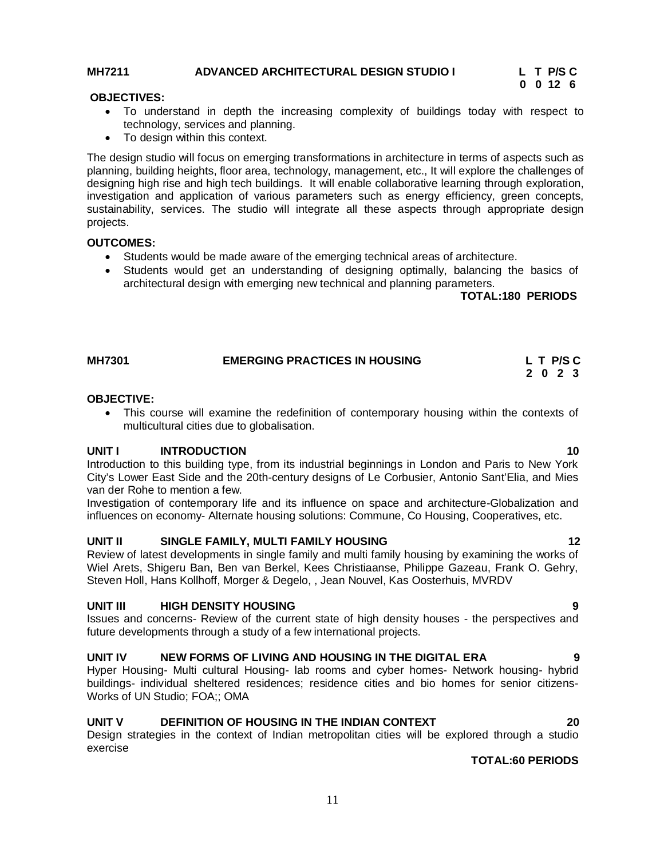## **MH7211** ADVANCED ARCHITECTURAL DESIGN STUDIO I L T P/S C<br>0 0 12 6

# **0 0 12 6**

#### **OBJECTIVES:**

- To understand in depth the increasing complexity of buildings today with respect to technology, services and planning.
- To design within this context.

The design studio will focus on emerging transformations in architecture in terms of aspects such as planning, building heights, floor area, technology, management, etc., It will explore the challenges of designing high rise and high tech buildings. It will enable collaborative learning through exploration, investigation and application of various parameters such as energy efficiency, green concepts, sustainability, services. The studio will integrate all these aspects through appropriate design projects.

#### **OUTCOMES:**

- Students would be made aware of the emerging technical areas of architecture.
- Students would get an understanding of designing optimally, balancing the basics of architectural design with emerging new technical and planning parameters.

 **TOTAL:180 PERIODS** 

| <b>MH7301</b> | <b>EMERGING PRACTICES IN HOUSING</b> | L T P/SC |  |  |
|---------------|--------------------------------------|----------|--|--|
|               |                                      | 2 0 2 3  |  |  |

#### **OBJECTIVE:**

 This course will examine the redefinition of contemporary housing within the contexts of multicultural cities due to globalisation.

#### **UNIT I INTRODUCTION 10**

Introduction to this building type, from its industrial beginnings in London and Paris to New York City's Lower East Side and the 20th-century designs of Le Corbusier, Antonio Sant'Elia, and Mies van der Rohe to mention a few.

Investigation of contemporary life and its influence on space and architecture-Globalization and influences on economy- Alternate housing solutions: Commune, Co Housing, Cooperatives, etc.

#### **UNIT II SINGLE FAMILY, MULTI FAMILY HOUSING 12**

Review of latest developments in single family and multi family housing by examining the works of Wiel Arets, Shigeru Ban, Ben van Berkel, Kees Christiaanse, Philippe Gazeau, Frank O. Gehry, Steven Holl, Hans Kollhoff, Morger & Degelo, , Jean Nouvel, Kas Oosterhuis, MVRDV

#### **UNIT III HIGH DENSITY HOUSING 9**

Issues and concerns- Review of the current state of high density houses - the perspectives and future developments through a study of a few international projects.

#### **UNIT IV NEW FORMS OF LIVING AND HOUSING IN THE DIGITAL ERA 9**

Hyper Housing- Multi cultural Housing- lab rooms and cyber homes- Network housing- hybrid buildings- individual sheltered residences; residence cities and bio homes for senior citizens-Works of UN Studio; FOA;; OMA

#### **UNIT V DEFINITION OF HOUSING IN THE INDIAN CONTEXT 20**

Design strategies in the context of Indian metropolitan cities will be explored through a studio exercise

#### **TOTAL:60 PERIODS**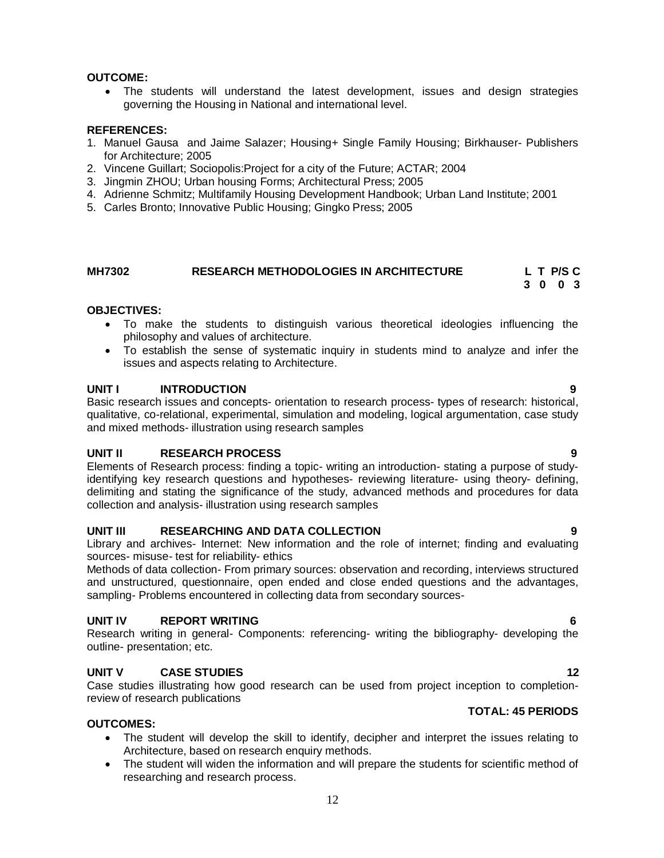#### **OUTCOME:**

 The students will understand the latest development, issues and design strategies governing the Housing in National and international level.

#### **REFERENCES:**

- 1. Manuel Gausa and Jaime Salazer; Housing+ Single Family Housing; Birkhauser- Publishers for Architecture; 2005
- 2. Vincene Guillart; Sociopolis:Project for a city of the Future; ACTAR; 2004
- 3. Jingmin ZHOU; Urban housing Forms; Architectural Press; 2005
- 4. Adrienne Schmitz; Multifamily Housing Development Handbook; Urban Land Institute; 2001
- 5. Carles Bronto; Innovative Public Housing; Gingko Press; 2005

#### **MH7302 RESEARCH METHODOLOGIES IN ARCHITECTURE L T P/S C 3 0 0 3**

#### **OBJECTIVES:**

- To make the students to distinguish various theoretical ideologies influencing the philosophy and values of architecture.
- To establish the sense of systematic inquiry in students mind to analyze and infer the issues and aspects relating to Architecture.

#### **UNIT I INTRODUCTION 9**

Basic research issues and concepts- orientation to research process- types of research: historical, qualitative, co-relational, experimental, simulation and modeling, logical argumentation, case study and mixed methods- illustration using research samples

#### **UNIT II RESEARCH PROCESS 9**

Elements of Research process: finding a topic- writing an introduction- stating a purpose of studyidentifying key research questions and hypotheses- reviewing literature- using theory- defining, delimiting and stating the significance of the study, advanced methods and procedures for data collection and analysis- illustration using research samples

#### **UNIT III RESEARCHING AND DATA COLLECTION 9**

Library and archives- Internet: New information and the role of internet; finding and evaluating sources- misuse- test for reliability- ethics

Methods of data collection- From primary sources: observation and recording, interviews structured and unstructured, questionnaire, open ended and close ended questions and the advantages, sampling- Problems encountered in collecting data from secondary sources-

#### **UNIT IV REPORT WRITING 6**

Research writing in general- Components: referencing- writing the bibliography- developing the outline- presentation; etc.

#### **UNIT V CASE STUDIES 12**

Case studies illustrating how good research can be used from project inception to completionreview of research publications

#### **TOTAL: 45 PERIODS**

### **OUTCOMES:**

- The student will develop the skill to identify, decipher and interpret the issues relating to Architecture, based on research enquiry methods.
- The student will widen the information and will prepare the students for scientific method of researching and research process.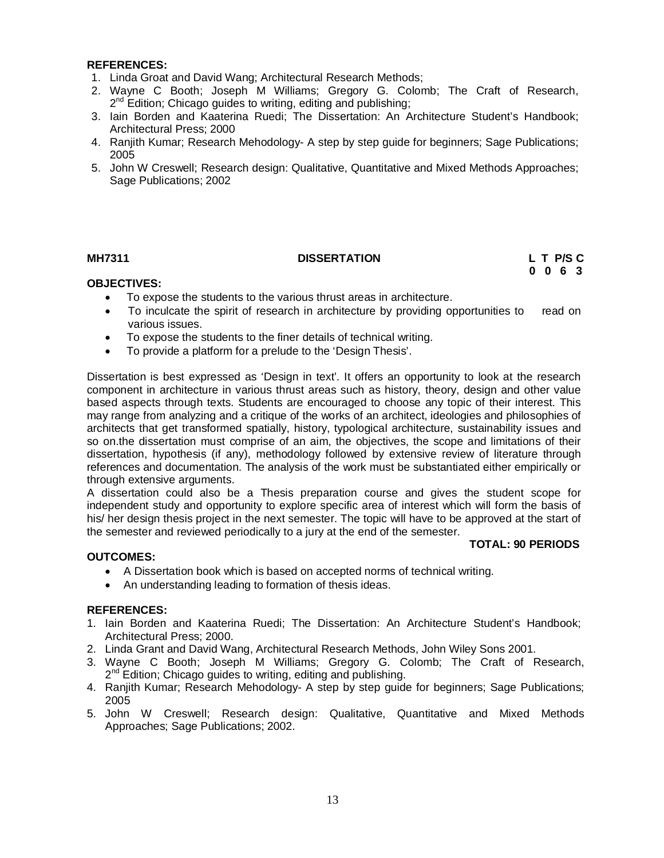#### **REFERENCES:**

- 1. Linda Groat and David Wang; Architectural Research Methods;
- 2. Wayne C Booth; Joseph M Williams; Gregory G. Colomb; The Craft of Research, 2<sup>nd</sup> Edition; Chicago guides to writing, editing and publishing;
- 3. Iain Borden and Kaaterina Ruedi; The Dissertation: An Architecture Student's Handbook; Architectural Press; 2000
- 4. Ranjith Kumar; Research Mehodology- A step by step guide for beginners; Sage Publications; 2005
- 5. John W Creswell; Research design: Qualitative, Quantitative and Mixed Methods Approaches; Sage Publications; 2002

#### **MH7311 DISSERTATION L T P/S C 0 0 6 3**

#### **OBJECTIVES:**

- To expose the students to the various thrust areas in architecture.
- To inculcate the spirit of research in architecture by providing opportunities to read on various issues.
- To expose the students to the finer details of technical writing.
- To provide a platform for a prelude to the 'Design Thesis'.

Dissertation is best expressed as 'Design in text'. It offers an opportunity to look at the research component in architecture in various thrust areas such as history, theory, design and other value based aspects through texts. Students are encouraged to choose any topic of their interest. This may range from analyzing and a critique of the works of an architect, ideologies and philosophies of architects that get transformed spatially, history, typological architecture, sustainability issues and so on.the dissertation must comprise of an aim, the objectives, the scope and limitations of their dissertation, hypothesis (if any), methodology followed by extensive review of literature through references and documentation. The analysis of the work must be substantiated either empirically or through extensive arguments.

A dissertation could also be a Thesis preparation course and gives the student scope for independent study and opportunity to explore specific area of interest which will form the basis of his/ her design thesis project in the next semester. The topic will have to be approved at the start of the semester and reviewed periodically to a jury at the end of the semester.

#### **TOTAL: 90 PERIODS**

#### **OUTCOMES:**

- A Dissertation book which is based on accepted norms of technical writing.
- An understanding leading to formation of thesis ideas.

- 1. Iain Borden and Kaaterina Ruedi; The Dissertation: An Architecture Student's Handbook; Architectural Press; 2000.
- 2. Linda Grant and David Wang, Architectural Research Methods, John Wiley Sons 2001.
- 3. Wayne C Booth; Joseph M Williams; Gregory G. Colomb; The Craft of Research, 2<sup>nd</sup> Edition; Chicago guides to writing, editing and publishing.
- 4. Ranjith Kumar; Research Mehodology- A step by step guide for beginners; Sage Publications; 2005
- 5. John W Creswell; Research design: Qualitative, Quantitative and Mixed Methods Approaches; Sage Publications; 2002.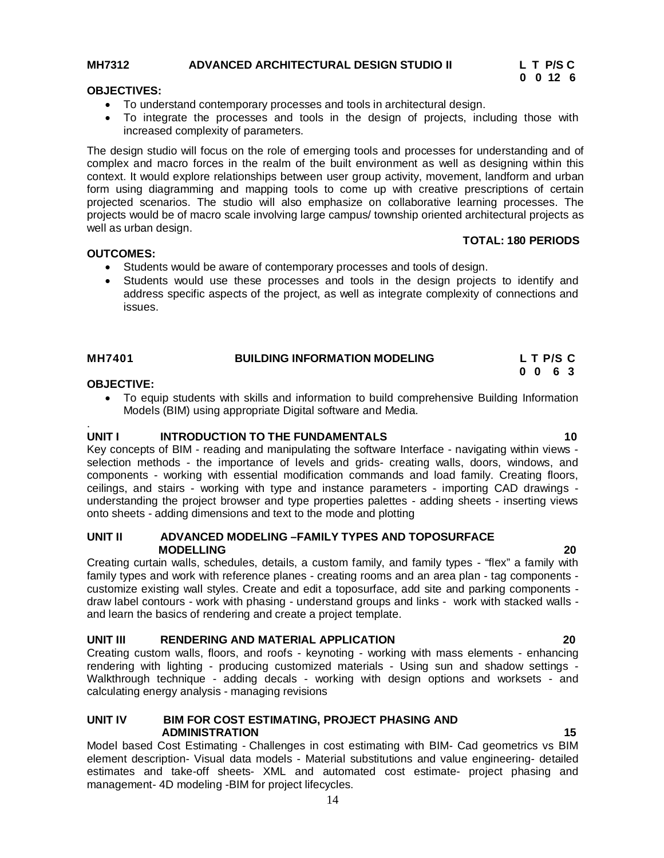# **MH7312** ADVANCED ARCHITECTURAL DESIGN STUDIO II L T P/S C<br>0 0 12 6

#### **OBJECTIVES:**

- To understand contemporary processes and tools in architectural design.
- To integrate the processes and tools in the design of projects, including those with increased complexity of parameters.

The design studio will focus on the role of emerging tools and processes for understanding and of complex and macro forces in the realm of the built environment as well as designing within this context. It would explore relationships between user group activity, movement, landform and urban form using diagramming and mapping tools to come up with creative prescriptions of certain projected scenarios. The studio will also emphasize on collaborative learning processes. The projects would be of macro scale involving large campus/ township oriented architectural projects as well as urban design.

#### **TOTAL: 180 PERIODS**

#### **OUTCOMES:**

- Students would be aware of contemporary processes and tools of design.
- Students would use these processes and tools in the design projects to identify and address specific aspects of the project, as well as integrate complexity of connections and issues.

| <b>MH7401</b> | <b>BUILDING INFORMATION MODELING</b> | L T P/S C                |
|---------------|--------------------------------------|--------------------------|
|               |                                      | $0\quad 0\quad 6\quad 3$ |

#### **OBJECTIVE:**

 To equip students with skills and information to build comprehensive Building Information Models (BIM) using appropriate Digital software and Media.

#### . **UNIT I** INTRODUCTION TO THE FUNDAMENTALS **10**

Key concepts of BIM - reading and manipulating the software Interface - navigating within views selection methods - the importance of levels and grids- creating walls, doors, windows, and components - working with essential modification commands and load family. Creating floors, ceilings, and stairs - working with type and instance parameters - importing CAD drawings understanding the project browser and type properties palettes - adding sheets - inserting views onto sheets - adding dimensions and text to the mode and plotting

#### **UNIT II ADVANCED MODELING –FAMILY TYPES AND TOPOSURFACE MODELLING 20**

Creating curtain walls, schedules, details, a custom family, and family types - "flex" a family with family types and work with reference planes - creating rooms and an area plan - tag components customize existing wall styles. Create and edit a toposurface, add site and parking components draw label contours - work with phasing - understand groups and links - work with stacked walls and learn the basics of rendering and create a project template.

#### **UNIT III RENDERING AND MATERIAL APPLICATION 20**

Creating custom walls, floors, and roofs - keynoting - working with mass elements - enhancing rendering with lighting - producing customized materials - Using sun and shadow settings - Walkthrough technique - adding decals - working with design options and worksets - and calculating energy analysis - managing revisions

#### **UNIT IV BIM FOR COST ESTIMATING, PROJECT PHASING AND ADMINISTRATION 15**

Model based Cost Estimating - Challenges in cost estimating with BIM- Cad geometrics vs BIM element description- Visual data models - Material substitutions and value engineering- detailed estimates and take-off sheets- XML and automated cost estimate- project phasing and management- 4D modeling -BIM for project lifecycles.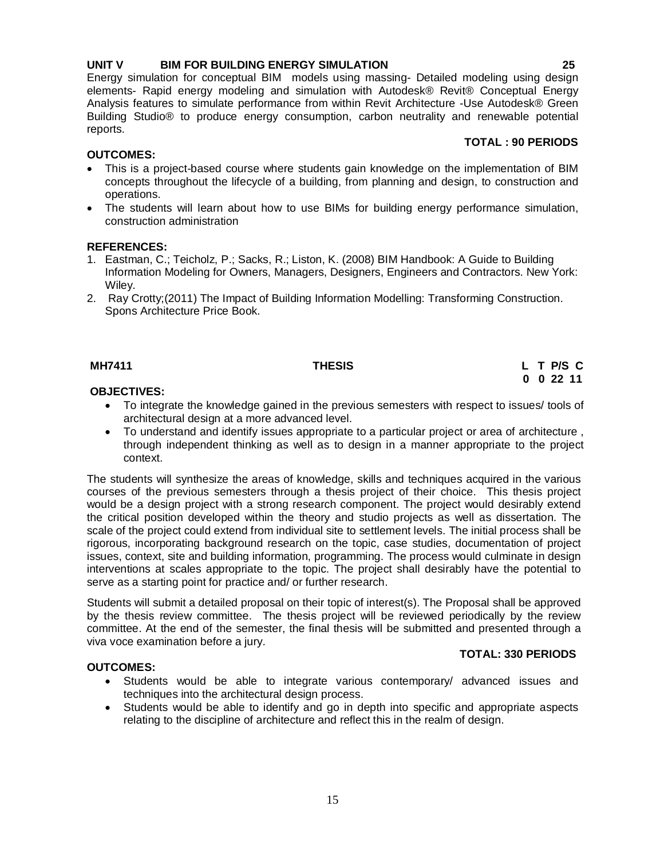### **OBJECTIVES:**

- To integrate the knowledge gained in the previous semesters with respect to issues/ tools of architectural design at a more advanced level.
- To understand and identify issues appropriate to a particular project or area of architecture , through independent thinking as well as to design in a manner appropriate to the project context.

The students will synthesize the areas of knowledge, skills and techniques acquired in the various courses of the previous semesters through a thesis project of their choice. This thesis project would be a design project with a strong research component. The project would desirably extend the critical position developed within the theory and studio projects as well as dissertation. The scale of the project could extend from individual site to settlement levels. The initial process shall be rigorous, incorporating background research on the topic, case studies, documentation of project issues, context, site and building information, programming. The process would culminate in design interventions at scales appropriate to the topic. The project shall desirably have the potential to serve as a starting point for practice and/ or further research.

Students will submit a detailed proposal on their topic of interest(s). The Proposal shall be approved by the thesis review committee. The thesis project will be reviewed periodically by the review committee. At the end of the semester, the final thesis will be submitted and presented through a viva voce examination before a jury.

#### **OUTCOMES:**

- Students would be able to integrate various contemporary/ advanced issues and techniques into the architectural design process.
- Students would be able to identify and go in depth into specific and appropriate aspects relating to the discipline of architecture and reflect this in the realm of design.

#### Analysis features to simulate performance from within Revit Architecture -Use Autodesk® Green Building Studio® to produce energy consumption, carbon neutrality and renewable potential

#### **OUTCOMES:**

reports.

 This is a project-based course where students gain knowledge on the implementation of BIM concepts throughout the lifecycle of a building, from planning and design, to construction and operations.

**UNIT V BIM FOR BUILDING ENERGY SIMULATION 25**

elements- Rapid energy modeling and simulation with Autodesk® Revit® Conceptual Energy

 The students will learn about how to use BIMs for building energy performance simulation, construction administration

#### **REFERENCES:**

- 1. Eastman, C.; Teicholz, P.; Sacks, R.; Liston, K. (2008) BIM Handbook: A Guide to Building Information Modeling for Owners, Managers, Designers, Engineers and Contractors. New York: Wiley.
- 2. Ray Crotty;(2011) The Impact of Building Information Modelling: Transforming Construction. Spons Architecture Price Book.

# **MH7411 THESIS L T P/S C**

#### **TOTAL: 330 PERIODS**

# $\,$  0 0 22 11

**TOTAL : 90 PERIODS**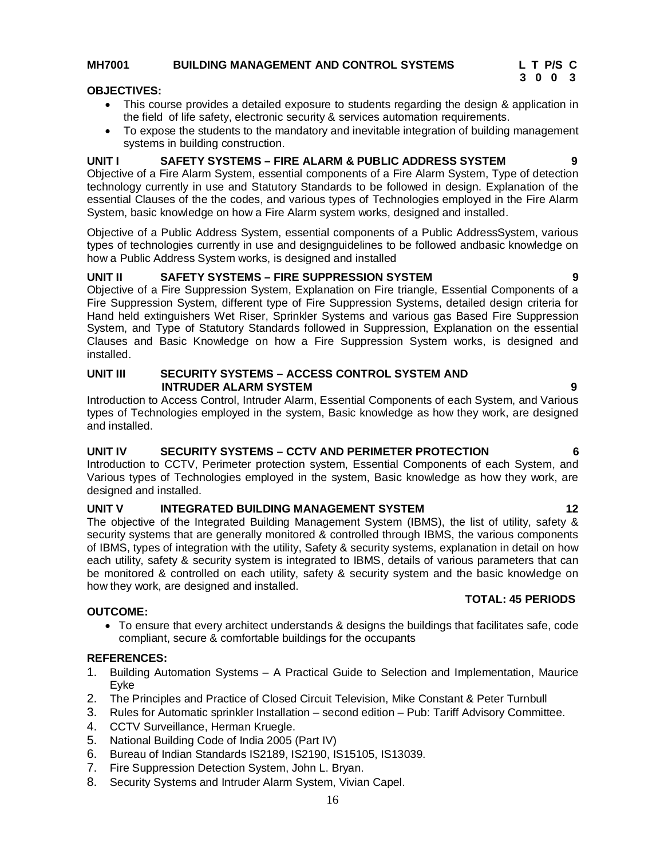#### **MH7001 BUILDING MANAGEMENT AND CONTROL SYSTEMS L T P/S C**

#### **OBJECTIVES:**

- This course provides a detailed exposure to students regarding the design & application in the field of life safety, electronic security & services automation requirements.
- To expose the students to the mandatory and inevitable integration of building management systems in building construction.

### **UNIT I SAFETY SYSTEMS – FIRE ALARM & PUBLIC ADDRESS SYSTEM 9**

Objective of a Fire Alarm System, essential components of a Fire Alarm System, Type of detection technology currently in use and Statutory Standards to be followed in design. Explanation of the essential Clauses of the the codes, and various types of Technologies employed in the Fire Alarm System, basic knowledge on how a Fire Alarm system works, designed and installed.

Objective of a Public Address System, essential components of a Public AddressSystem, various types of technologies currently in use and designguidelines to be followed andbasic knowledge on how a Public Address System works, is designed and installed

#### **UNIT II SAFETY SYSTEMS – FIRE SUPPRESSION SYSTEM 9**

Objective of a Fire Suppression System, Explanation on Fire triangle, Essential Components of a Fire Suppression System, different type of Fire Suppression Systems, detailed design criteria for Hand held extinguishers Wet Riser, Sprinkler Systems and various gas Based Fire Suppression System, and Type of Statutory Standards followed in Suppression, Explanation on the essential Clauses and Basic Knowledge on how a Fire Suppression System works, is designed and installed.

#### **UNIT III SECURITY SYSTEMS – ACCESS CONTROL SYSTEM AND INTRUDER ALARM SYSTEM 9**

Introduction to Access Control, Intruder Alarm, Essential Components of each System, and Various types of Technologies employed in the system, Basic knowledge as how they work, are designed and installed.

#### **UNIT IV SECURITY SYSTEMS – CCTV AND PERIMETER PROTECTION 6**

Introduction to CCTV, Perimeter protection system, Essential Components of each System, and Various types of Technologies employed in the system, Basic knowledge as how they work, are designed and installed.

#### **UNIT V INTEGRATED BUILDING MANAGEMENT SYSTEM 12**

The objective of the Integrated Building Management System (IBMS), the list of utility, safety & security systems that are generally monitored & controlled through IBMS, the various components of IBMS, types of integration with the utility, Safety & security systems, explanation in detail on how each utility, safety & security system is integrated to IBMS, details of various parameters that can be monitored & controlled on each utility, safety & security system and the basic knowledge on how they work, are designed and installed.

#### **OUTCOME:**

 To ensure that every architect understands & designs the buildings that facilitates safe, code compliant, secure & comfortable buildings for the occupants

#### **REFERENCES:**

- 1. Building Automation Systems A Practical Guide to Selection and Implementation, Maurice Eyke
- 2. The Principles and Practice of Closed Circuit Television, Mike Constant & Peter Turnbull
- 3. Rules for Automatic sprinkler Installation second edition Pub: Tariff Advisory Committee.
- 4. CCTV Surveillance, Herman Kruegle.
- 5. National Building Code of India 2005 (Part IV)
- 6. Bureau of Indian Standards IS2189, IS2190, IS15105, IS13039.
- 7. Fire Suppression Detection System, John L. Bryan.
- 8. Security Systems and Intruder Alarm System, Vivian Capel.

 **TOTAL: 45 PERIODS**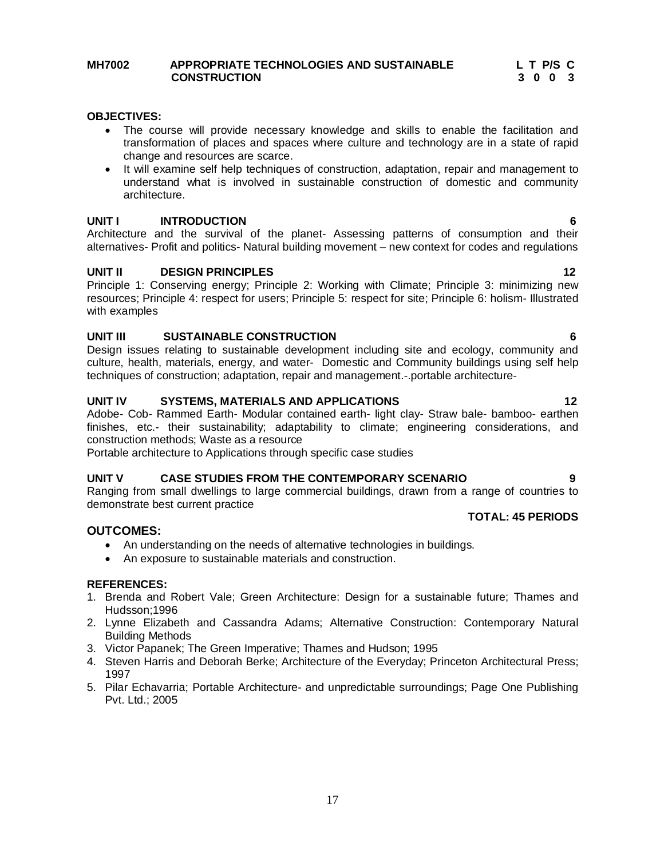#### **MH7002 APPROPRIATE TECHNOLOGIES AND SUSTAINABLE L T P/S C CONSTRUCTION 3 0 0 3**

#### **OBJECTIVES:**

- The course will provide necessary knowledge and skills to enable the facilitation and transformation of places and spaces where culture and technology are in a state of rapid change and resources are scarce.
- It will examine self help techniques of construction, adaptation, repair and management to understand what is involved in sustainable construction of domestic and community architecture.

#### **UNIT I INTRODUCTION 6**

Architecture and the survival of the planet- Assessing patterns of consumption and their alternatives- Profit and politics- Natural building movement – new context for codes and regulations

#### **UNIT II DESIGN PRINCIPLES 12**

Principle 1: Conserving energy; Principle 2: Working with Climate; Principle 3: minimizing new resources; Principle 4: respect for users; Principle 5: respect for site; Principle 6: holism- Illustrated with examples

#### **UNIT III SUSTAINABLE CONSTRUCTION 6**

Design issues relating to sustainable development including site and ecology, community and culture, health, materials, energy, and water- Domestic and Community buildings using self help techniques of construction; adaptation, repair and management.-.portable architecture-

#### **UNIT IV SYSTEMS, MATERIALS AND APPLICATIONS 12**

Adobe- Cob- Rammed Earth- Modular contained earth- light clay- Straw bale- bamboo- earthen finishes, etc.- their sustainability; adaptability to climate; engineering considerations, and construction methods; Waste as a resource

Portable architecture to Applications through specific case studies

#### **UNIT V CASE STUDIES FROM THE CONTEMPORARY SCENARIO 9**

Ranging from small dwellings to large commercial buildings, drawn from a range of countries to demonstrate best current practice

#### **OUTCOMES:**

- An understanding on the needs of alternative technologies in buildings.
- An exposure to sustainable materials and construction.

#### **REFERENCES:**

- 1. Brenda and Robert Vale; Green Architecture: Design for a sustainable future; Thames and Hudsson;1996
- 2. Lynne Elizabeth and Cassandra Adams; Alternative Construction: Contemporary Natural Building Methods
- 3. Victor Papanek; The Green Imperative; Thames and Hudson; 1995
- 4. Steven Harris and Deborah Berke; Architecture of the Everyday; Princeton Architectural Press; 1997
- 5. Pilar Echavarria; Portable Architecture- and unpredictable surroundings; Page One Publishing Pvt. Ltd.; 2005

**TOTAL: 45 PERIODS**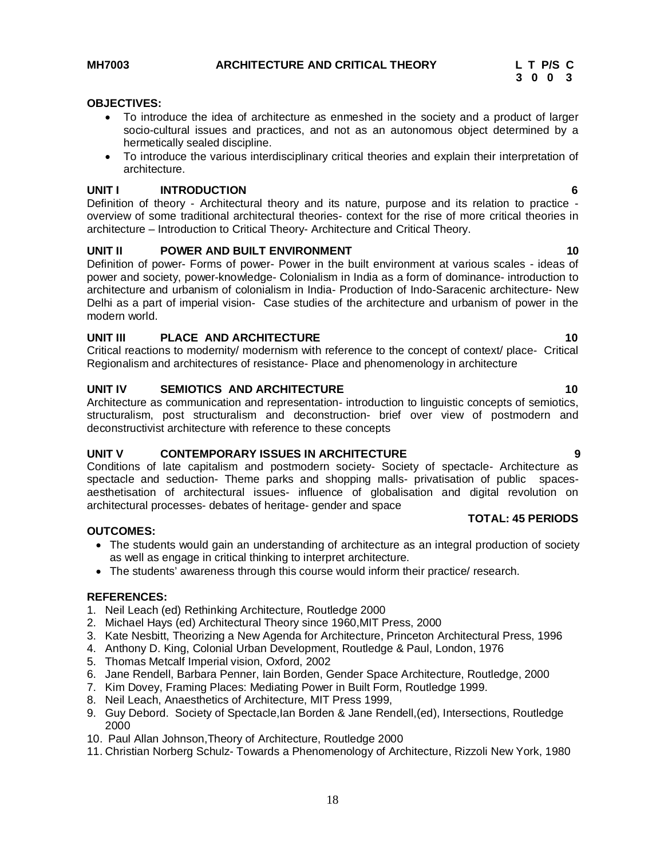**TOTAL: 45 PERIODS**

#### **OBJECTIVES:**

- To introduce the idea of architecture as enmeshed in the society and a product of larger socio-cultural issues and practices, and not as an autonomous object determined by a hermetically sealed discipline.
- To introduce the various interdisciplinary critical theories and explain their interpretation of architecture.

#### **UNIT I INTRODUCTION 6**

Definition of theory - Architectural theory and its nature, purpose and its relation to practice overview of some traditional architectural theories- context for the rise of more critical theories in architecture – Introduction to Critical Theory- Architecture and Critical Theory.

#### **UNIT II POWER AND BUILT ENVIRONMENT 10** 10

Definition of power- Forms of power- Power in the built environment at various scales - ideas of power and society, power-knowledge- Colonialism in India as a form of dominance- introduction to architecture and urbanism of colonialism in India- Production of Indo-Saracenic architecture- New Delhi as a part of imperial vision- Case studies of the architecture and urbanism of power in the modern world.

#### **UNIT III** PLACE AND ARCHITECTURE 2008 10

Critical reactions to modernity/ modernism with reference to the concept of context/ place- Critical Regionalism and architectures of resistance- Place and phenomenology in architecture

#### **UNIT IV SEMIOTICS AND ARCHITECTURE 10** 10

Architecture as communication and representation- introduction to linguistic concepts of semiotics, structuralism, post structuralism and deconstruction- brief over view of postmodern and deconstructivist architecture with reference to these concepts

#### **UNIT V CONTEMPORARY ISSUES IN ARCHITECTURE 9**

Conditions of late capitalism and postmodern society- Society of spectacle- Architecture as spectacle and seduction- Theme parks and shopping malls- privatisation of public spacesaesthetisation of architectural issues- influence of globalisation and digital revolution on architectural processes- debates of heritage- gender and space

#### **OUTCOMES:**

- The students would gain an understanding of architecture as an integral production of society as well as engage in critical thinking to interpret architecture.
- The students' awareness through this course would inform their practice/ research.

- 1. Neil Leach (ed) Rethinking Architecture, Routledge 2000
- 2. Michael Hays (ed) Architectural Theory since 1960,MIT Press, 2000
- 3. Kate Nesbitt, Theorizing a New Agenda for Architecture, Princeton Architectural Press, 1996
- 4. Anthony D. King, Colonial Urban Development, Routledge & Paul, London, 1976
- 5. Thomas Metcalf Imperial vision, Oxford, 2002
- 6. Jane Rendell, Barbara Penner, Iain Borden, Gender Space Architecture, Routledge, 2000
- 7. Kim Dovey, Framing Places: Mediating Power in Built Form, Routledge 1999.
- 8. Neil Leach, Anaesthetics of Architecture, MIT Press 1999,
- 9. Guy Debord. Society of Spectacle,Ian Borden & Jane Rendell,(ed), Intersections, Routledge 2000
- 10. Paul Allan Johnson,Theory of Architecture, Routledge 2000
- 11. Christian Norberg Schulz- Towards a Phenomenology of Architecture, Rizzoli New York, 1980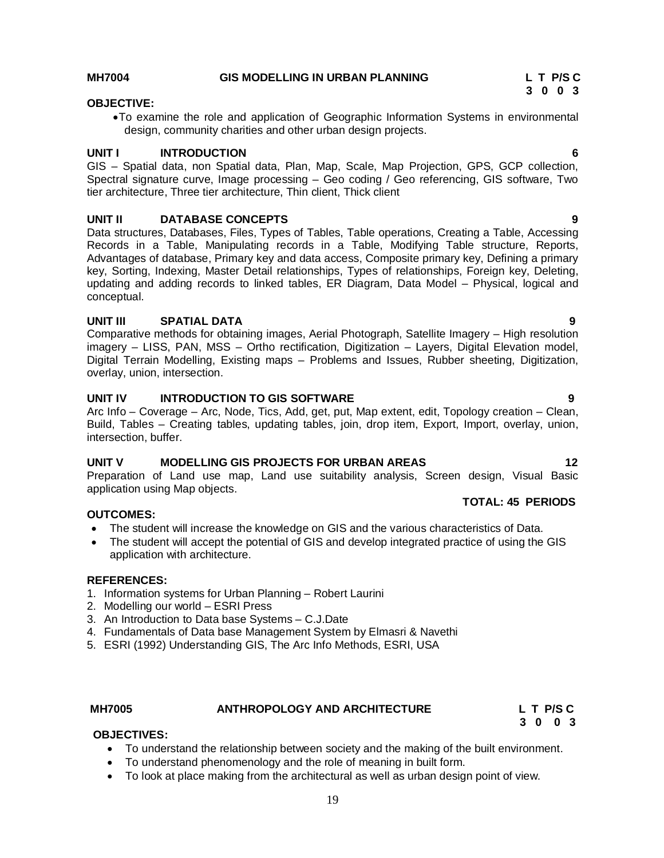# MH7004 GIS MODELLING IN URBAN PLANNING L T P/S C<br>3 0 0 3

#### **3** 0 0 3 **OBJECTIVE:**

To examine the role and application of Geographic Information Systems in environmental design, community charities and other urban design projects.

#### **UNIT I INTRODUCTION 6**

GIS – Spatial data, non Spatial data, Plan, Map, Scale, Map Projection, GPS, GCP collection, Spectral signature curve, Image processing – Geo coding / Geo referencing, GIS software, Two tier architecture, Three tier architecture, Thin client, Thick client

#### **UNIT II DATABASE CONCEPTS 9**

Data structures, Databases, Files, Types of Tables, Table operations, Creating a Table, Accessing Records in a Table, Manipulating records in a Table, Modifying Table structure, Reports, Advantages of database, Primary key and data access, Composite primary key, Defining a primary key, Sorting, Indexing, Master Detail relationships, Types of relationships, Foreign key, Deleting, updating and adding records to linked tables, ER Diagram, Data Model – Physical, logical and conceptual.

#### **UNIT III SPATIAL DATA 9**

Comparative methods for obtaining images, Aerial Photograph, Satellite Imagery – High resolution imagery – LISS, PAN, MSS – Ortho rectification, Digitization – Layers, Digital Elevation model, Digital Terrain Modelling, Existing maps – Problems and Issues, Rubber sheeting, Digitization, overlay, union, intersection.

#### **UNIT IV INTRODUCTION TO GIS SOFTWARE 9**

Arc Info – Coverage – Arc, Node, Tics, Add, get, put, Map extent, edit, Topology creation – Clean, Build, Tables – Creating tables, updating tables, join, drop item, Export, Import, overlay, union, intersection, buffer.

#### **UNIT V MODELLING GIS PROJECTS FOR URBAN AREAS 12**

Preparation of Land use map, Land use suitability analysis, Screen design, Visual Basic application using Map objects.

#### **OUTCOMES:**

- The student will increase the knowledge on GIS and the various characteristics of Data.
- The student will accept the potential of GIS and develop integrated practice of using the GIS application with architecture.

#### **REFERENCES:**

- 1. Information systems for Urban Planning Robert Laurini
- 2. Modelling our world ESRI Press
- 3. An Introduction to Data base Systems C.J.Date
- 4. Fundamentals of Data base Management System by Elmasri & Navethi
- 5. ESRI (1992) Understanding GIS, The Arc Info Methods, ESRI, USA

#### **OBJECTIVES:**

- To understand the relationship between society and the making of the built environment.
- To understand phenomenology and the role of meaning in built form.
- To look at place making from the architectural as well as urban design point of view.

#### **TOTAL: 45 PERIODS**

**MH7005 ANTHROPOLOGY AND ARCHITECTURE L T P/S C 3 0 0 3 3 0 0 3**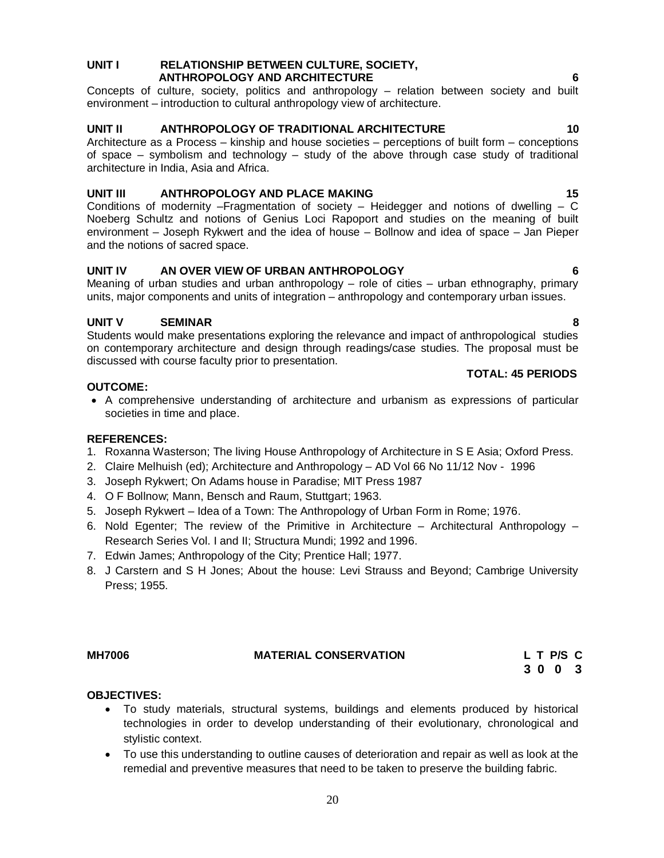#### **UNIT I RELATIONSHIP BETWEEN CULTURE, SOCIETY, ANTHROPOLOGY AND ARCHITECTURE 6**

Concepts of culture, society, politics and anthropology – relation between society and built environment – introduction to cultural anthropology view of architecture.

### **UNIT II ANTHROPOLOGY OF TRADITIONAL ARCHITECTURE 10**

Architecture as a Process – kinship and house societies – perceptions of built form – conceptions of space – symbolism and technology – study of the above through case study of traditional architecture in India, Asia and Africa.

### **UNIT III ANTHROPOLOGY AND PLACE MAKING 15**

Conditions of modernity –Fragmentation of society – Heidegger and notions of dwelling –  $C$ Noeberg Schultz and notions of Genius Loci Rapoport and studies on the meaning of built environment – Joseph Rykwert and the idea of house – Bollnow and idea of space – Jan Pieper and the notions of sacred space.

### **UNIT IV AN OVER VIEW OF URBAN ANTHROPOLOGY 6**

Meaning of urban studies and urban anthropology – role of cities – urban ethnography, primary units, major components and units of integration – anthropology and contemporary urban issues.

### **UNIT V SEMINAR 8**

Students would make presentations exploring the relevance and impact of anthropological studies on contemporary architecture and design through readings/case studies. The proposal must be discussed with course faculty prior to presentation.

#### **OUTCOME:**

 A comprehensive understanding of architecture and urbanism as expressions of particular societies in time and place.

#### **REFERENCES:**

- 1. Roxanna Wasterson; The living House Anthropology of Architecture in S E Asia; Oxford Press.
- 2. Claire Melhuish (ed); Architecture and Anthropology AD Vol 66 No 11/12 Nov 1996
- 3. Joseph Rykwert; On Adams house in Paradise; MIT Press 1987
- 4. O F Bollnow; Mann, Bensch and Raum, Stuttgart; 1963.
- 5. Joseph Rykwert Idea of a Town: The Anthropology of Urban Form in Rome; 1976.
- 6. Nold Egenter; The review of the Primitive in Architecture Architectural Anthropology Research Series Vol. I and II; Structura Mundi; 1992 and 1996.
- 7. Edwin James; Anthropology of the City; Prentice Hall; 1977.
- 8. J Carstern and S H Jones; About the house: Levi Strauss and Beyond; Cambrige University Press; 1955.

### **OBJECTIVES:**

- To study materials, structural systems, buildings and elements produced by historical technologies in order to develop understanding of their evolutionary, chronological and stylistic context.
- To use this understanding to outline causes of deterioration and repair as well as look at the remedial and preventive measures that need to be taken to preserve the building fabric.

#### **TOTAL: 45 PERIODS**

**MH7006 MATERIAL CONSERVATION L T P/S C 3 0 0 3**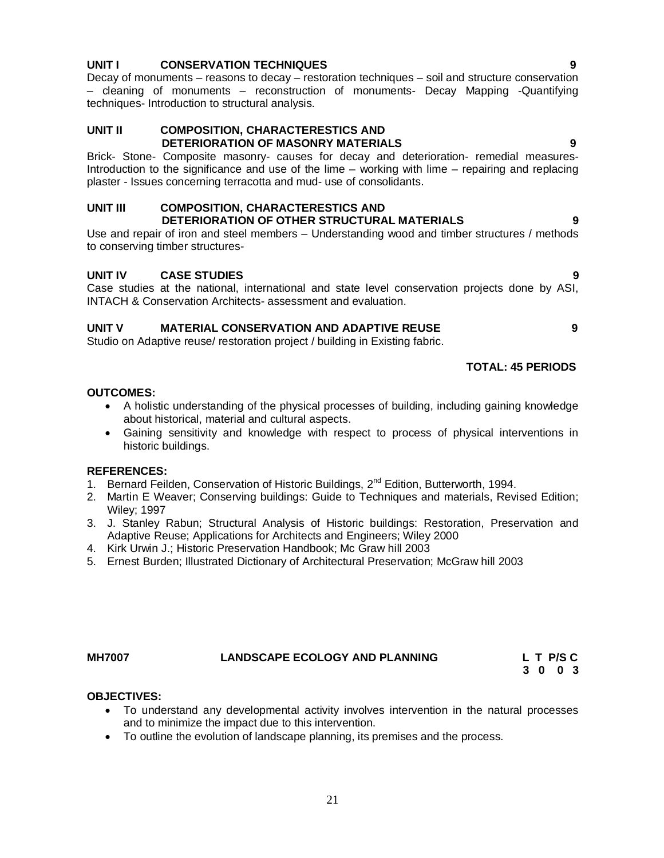#### **UNIT I CONSERVATION TECHNIQUES 9**

Decay of monuments – reasons to decay – restoration techniques – soil and structure conservation – cleaning of monuments – reconstruction of monuments- Decay Mapping -Quantifying techniques- Introduction to structural analysis.

#### **UNIT II COMPOSITION, CHARACTERESTICS AND DETERIORATION OF MASONRY MATERIALS 9**

Brick- Stone- Composite masonry- causes for decay and deterioration- remedial measures-Introduction to the significance and use of the lime – working with lime – repairing and replacing plaster - Issues concerning terracotta and mud- use of consolidants.

#### **UNIT III COMPOSITION, CHARACTERESTICS AND DETERIORATION OF OTHER STRUCTURAL MATERIALS 9**

Use and repair of iron and steel members – Understanding wood and timber structures / methods to conserving timber structures-

#### **UNIT IV CASE STUDIES 9**

Case studies at the national, international and state level conservation projects done by ASI, INTACH & Conservation Architects- assessment and evaluation.

### **UNIT V MATERIAL CONSERVATION AND ADAPTIVE REUSE 9**

Studio on Adaptive reuse/ restoration project / building in Existing fabric.

#### **TOTAL: 45 PERIODS**

#### **OUTCOMES:**

- A holistic understanding of the physical processes of building, including gaining knowledge about historical, material and cultural aspects.
- Gaining sensitivity and knowledge with respect to process of physical interventions in historic buildings.

#### **REFERENCES:**

- 1. Bernard Feilden, Conservation of Historic Buildings, 2<sup>nd</sup> Edition, Butterworth, 1994.
- 2. Martin E Weaver; Conserving buildings: Guide to Techniques and materials, Revised Edition; Wiley; 1997
- 3. J. Stanley Rabun; Structural Analysis of Historic buildings: Restoration, Preservation and Adaptive Reuse; Applications for Architects and Engineers; Wiley 2000
- 4. Kirk Urwin J.; Historic Preservation Handbook; Mc Graw hill 2003
- 5. Ernest Burden; Illustrated Dictionary of Architectural Preservation; McGraw hill 2003

#### **MH7007 LANDSCAPE ECOLOGY AND PLANNING L T P/S C 3** 0 0 3

#### **OBJECTIVES:**

- To understand any developmental activity involves intervention in the natural processes and to minimize the impact due to this intervention.
- To outline the evolution of landscape planning, its premises and the process.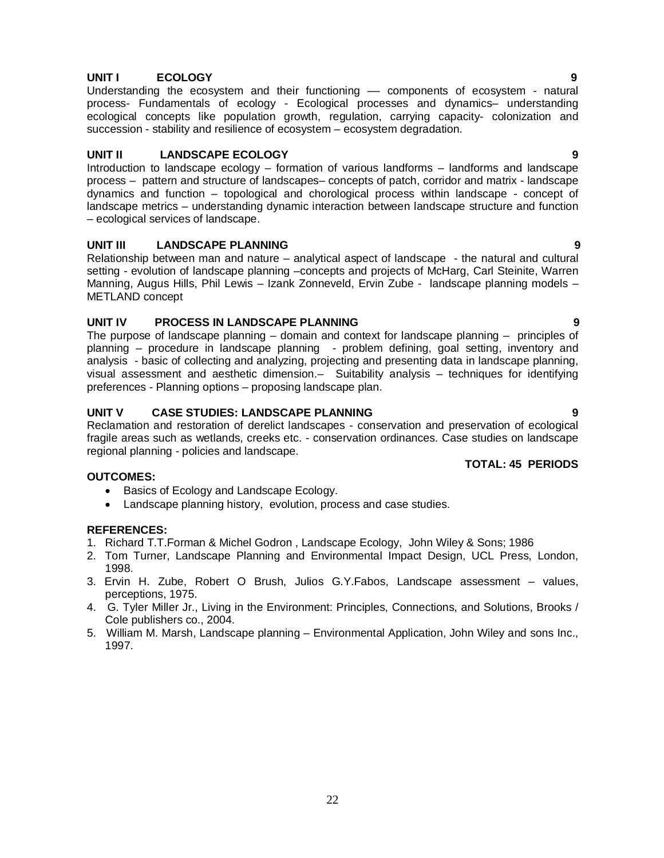### **UNIT I ECOLOGY 9**

Understanding the ecosystem and their functioning –– components of ecosystem - natural process- Fundamentals of ecology - Ecological processes and dynamics– understanding ecological concepts like population growth, regulation, carrying capacity- colonization and succession - stability and resilience of ecosystem – ecosystem degradation.

#### **UNIT II LANDSCAPE ECOLOGY 9**

Introduction to landscape ecology – formation of various landforms – landforms and landscape process – pattern and structure of landscapes– concepts of patch, corridor and matrix - landscape dynamics and function – topological and chorological process within landscape - concept of landscape metrics – understanding dynamic interaction between landscape structure and function – ecological services of landscape.

#### **UNIT III LANDSCAPE PLANNING 9**

Relationship between man and nature – analytical aspect of landscape - the natural and cultural setting - evolution of landscape planning –concepts and projects of McHarg, Carl Steinite, Warren Manning, Augus Hills, Phil Lewis – Izank Zonneveld, Ervin Zube - landscape planning models – METLAND concept

#### **UNIT IV PROCESS IN LANDSCAPE PLANNING 9**

The purpose of landscape planning – domain and context for landscape planning – principles of planning – procedure in landscape planning - problem defining, goal setting, inventory and analysis - basic of collecting and analyzing, projecting and presenting data in landscape planning, visual assessment and aesthetic dimension.– Suitability analysis – techniques for identifying preferences - Planning options – proposing landscape plan.

#### **UNIT V CASE STUDIES: LANDSCAPE PLANNING 9**

Reclamation and restoration of derelict landscapes - conservation and preservation of ecological fragile areas such as wetlands, creeks etc. - conservation ordinances. Case studies on landscape regional planning - policies and landscape.

#### **TOTAL: 45 PERIODS**

#### **OUTCOMES:**

- Basics of Ecology and Landscape Ecology.
- Landscape planning history, evolution, process and case studies.

- 1. Richard T.T.Forman & Michel Godron , Landscape Ecology, John Wiley & Sons; 1986
- 2. Tom Turner, Landscape Planning and Environmental Impact Design, UCL Press, London, 1998.
- 3. Ervin H. Zube, Robert O Brush, Julios G.Y.Fabos, Landscape assessment values, perceptions, 1975.
- 4. G. Tyler Miller Jr., Living in the Environment: Principles, Connections, and Solutions, Brooks / Cole publishers co., 2004.
- 5. William M. Marsh, Landscape planning Environmental Application, John Wiley and sons Inc., 1997.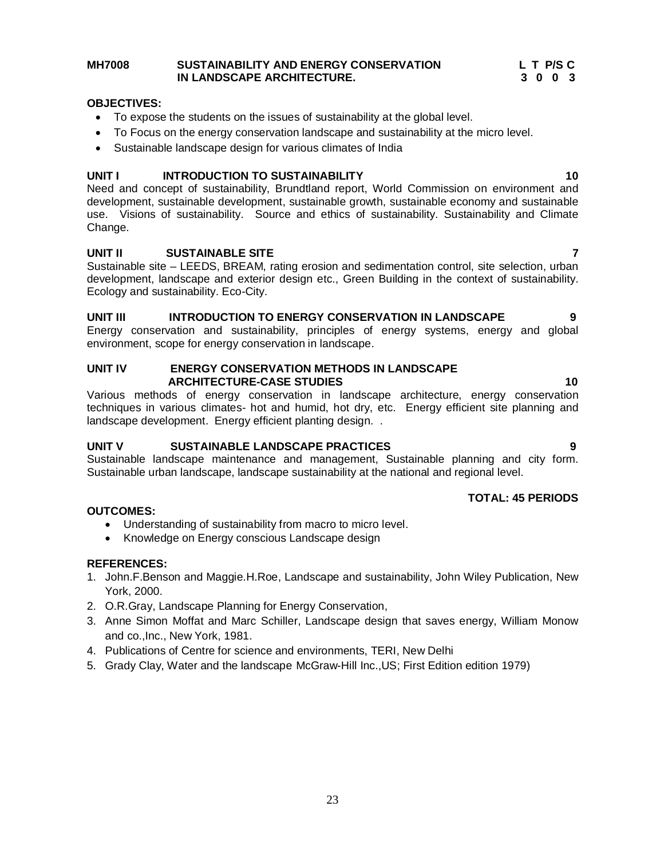#### **MH7008 SUSTAINABILITY AND ENERGY CONSERVATION L T P/S C IN LANDSCAPE ARCHITECTURE. 3 0 0 3**

#### **OBJECTIVES:**

- To expose the students on the issues of sustainability at the global level.
- To Focus on the energy conservation landscape and sustainability at the micro level.
- Sustainable landscape design for various climates of India

### **UNIT I** INTRODUCTION TO SUSTAINABILITY **10**

Need and concept of sustainability, Brundtland report, World Commission on environment and development, sustainable development, sustainable growth, sustainable economy and sustainable use. Visions of sustainability. Source and ethics of sustainability. Sustainability and Climate Change.

#### **UNIT II SUSTAINABLE SITE 7**

Sustainable site – LEEDS, BREAM, rating erosion and sedimentation control, site selection, urban development, landscape and exterior design etc., Green Building in the context of sustainability. Ecology and sustainability. Eco-City.

### UNIT III INTRODUCTION TO ENERGY CONSERVATION IN LANDSCAPE 9

Energy conservation and sustainability, principles of energy systems, energy and global environment, scope for energy conservation in landscape.

#### **UNIT IV ENERGY CONSERVATION METHODS IN LANDSCAPE ARCHITECTURE-CASE STUDIES 10**

Various methods of energy conservation in landscape architecture, energy conservation techniques in various climates- hot and humid, hot dry, etc. Energy efficient site planning and landscape development. Energy efficient planting design..

### **UNIT V SUSTAINABLE LANDSCAPE PRACTICES 9**

Sustainable landscape maintenance and management, Sustainable planning and city form. Sustainable urban landscape, landscape sustainability at the national and regional level.

### **TOTAL: 45 PERIODS**

#### **OUTCOMES:**

- Understanding of sustainability from macro to micro level.
- Knowledge on Energy conscious Landscape design

- 1. John.F.Benson and Maggie.H.Roe, Landscape and sustainability, John Wiley Publication, New York, 2000.
- 2. O.R.Gray, Landscape Planning for Energy Conservation,
- 3. Anne Simon Moffat and Marc Schiller, Landscape design that saves energy, William Monow and co.,Inc., New York, 1981.
- 4. Publications of Centre for science and environments, TERI, New Delhi
- 5. Grady Clay, Water and the landscape McGraw-Hill Inc.,US; First Edition edition 1979)

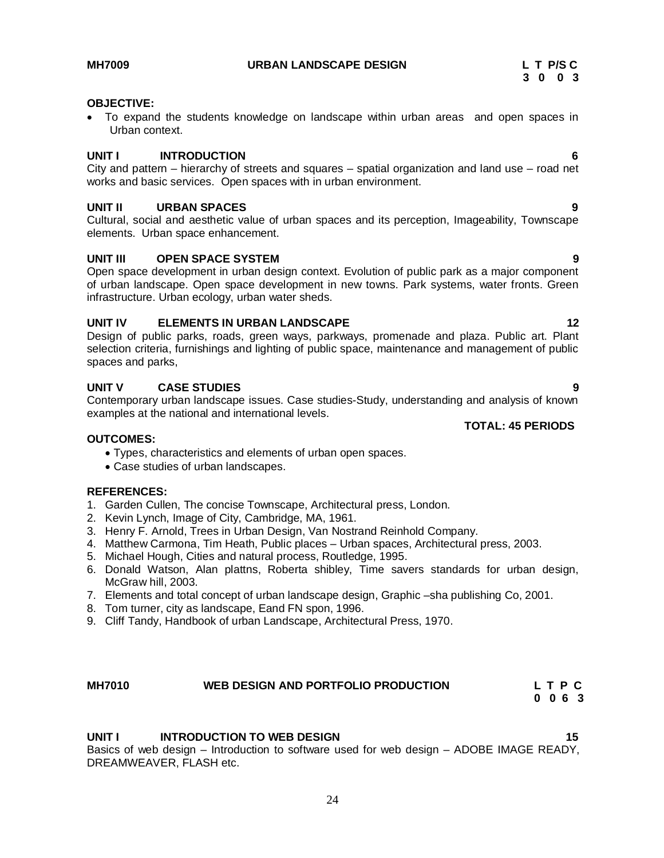**MH7009 URBAN LANDSCAPE DESIGN L T P/S C**

#### **OBJECTIVE:**

 To expand the students knowledge on landscape within urban areas and open spaces in Urban context.

#### **UNIT I INTRODUCTION 6**

City and pattern – hierarchy of streets and squares – spatial organization and land use – road net works and basic services. Open spaces with in urban environment.

#### **UNIT II URBAN SPACES 9**

Cultural, social and aesthetic value of urban spaces and its perception, Imageability, Townscape elements. Urban space enhancement.

#### **UNIT III OPEN SPACE SYSTEM 9**

Open space development in urban design context. Evolution of public park as a major component of urban landscape. Open space development in new towns. Park systems, water fronts. Green infrastructure. Urban ecology, urban water sheds.

#### **UNIT IV ELEMENTS IN URBAN LANDSCAPE 12** 12

Design of public parks, roads, green ways, parkways, promenade and plaza. Public art. Plant selection criteria, furnishings and lighting of public space, maintenance and management of public spaces and parks,

#### **UNIT V CASE STUDIES 9**

Contemporary urban landscape issues. Case studies-Study, understanding and analysis of known examples at the national and international levels.

#### **OUTCOMES:**

- Types, characteristics and elements of urban open spaces.
- Case studies of urban landscapes.

#### **REFERENCES:**

- 1. Garden Cullen, The concise Townscape, Architectural press, London.
- 2. Kevin Lynch, Image of City, Cambridge, MA, 1961.
- 3. Henry F. Arnold, Trees in Urban Design, Van Nostrand Reinhold Company.
- 4. Matthew Carmona, Tim Heath, Public places Urban spaces, Architectural press, 2003.
- 5. Michael Hough, Cities and natural process, Routledge, 1995.
- 6. Donald Watson, Alan plattns, Roberta shibley, Time savers standards for urban design, McGraw hill, 2003.
- 7. Elements and total concept of urban landscape design, Graphic –sha publishing Co, 2001.
- 8. Tom turner, city as landscape, Eand FN spon, 1996.
- 9. Cliff Tandy, Handbook of urban Landscape, Architectural Press, 1970.

#### MH7010 **WEB DESIGN AND PORTFOLIO PRODUCTION** L T P C **C** 0 6 3  **0 0 6 3**

#### **UNIT I** INTRODUCTION TO WEB DESIGN **15**

Basics of web design – Introduction to software used for web design – ADOBE IMAGE READY, DREAMWEAVER, FLASH etc.

#### **TOTAL: 45 PERIODS**